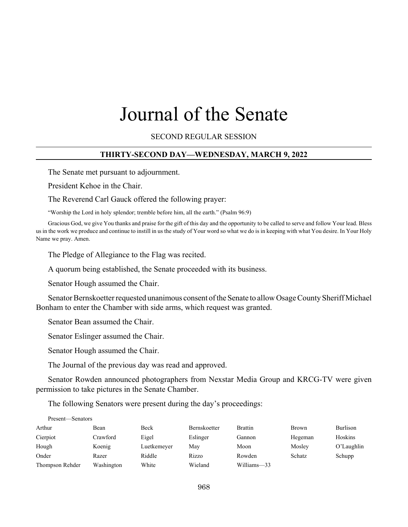# Journal of the Senate

SECOND REGULAR SESSION

### **THIRTY-SECOND DAY—WEDNESDAY, MARCH 9, 2022**

The Senate met pursuant to adjournment.

President Kehoe in the Chair.

The Reverend Carl Gauck offered the following prayer:

"Worship the Lord in holy splendor; tremble before him, all the earth." (Psalm 96:9)

Gracious God, we give You thanks and praise for the gift of this day and the opportunity to be called to serve and follow Your lead. Bless us in the work we produce and continue to instill in us the study of Your word so what we do is in keeping with what You desire. In Your Holy Name we pray. Amen.

The Pledge of Allegiance to the Flag was recited.

A quorum being established, the Senate proceeded with its business.

Senator Hough assumed the Chair.

Senator Bernskoetter requested unanimous consent of the Senate to allow Osage County Sheriff Michael Bonham to enter the Chamber with side arms, which request was granted.

Senator Bean assumed the Chair.

Senator Eslinger assumed the Chair.

Senator Hough assumed the Chair.

The Journal of the previous day was read and approved.

Senator Rowden announced photographers from Nexstar Media Group and KRCG-TV were given permission to take pictures in the Senate Chamber.

The following Senators were present during the day's proceedings:

| Present—Senators |            |             |                     |                |              |            |
|------------------|------------|-------------|---------------------|----------------|--------------|------------|
| Arthur           | Bean       | Beck        | <b>Bernskoetter</b> | <b>Brattin</b> | <b>Brown</b> | Burlison   |
| Cierpiot         | Crawford   | Eigel       | Eslinger            | Gannon         | Hegeman      | Hoskins    |
| Hough            | Koenig     | Luetkemeyer | May                 | Moon           | Mosley       | O'Laughlin |
| Onder            | Razer      | Riddle      | Rizzo               | Rowden         | Schatz       | Schupp     |
| Thompson Rehder  | Washington | White       | Wieland             | Williams-33    |              |            |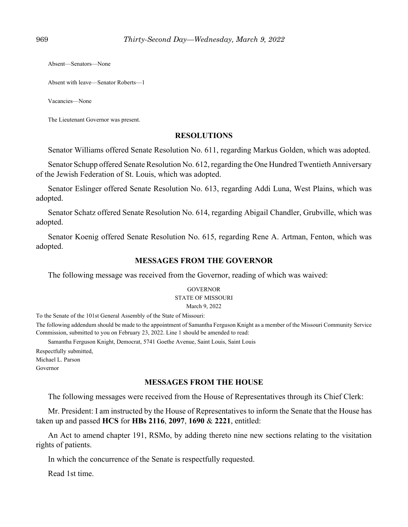Absent—Senators—None

Absent with leave—Senator Roberts—1

Vacancies—None

The Lieutenant Governor was present.

# **RESOLUTIONS**

Senator Williams offered Senate Resolution No. 611, regarding Markus Golden, which was adopted.

Senator Schupp offered Senate Resolution No. 612, regarding the One Hundred Twentieth Anniversary of the Jewish Federation of St. Louis, which was adopted.

Senator Eslinger offered Senate Resolution No. 613, regarding Addi Luna, West Plains, which was adopted.

Senator Schatz offered Senate Resolution No. 614, regarding Abigail Chandler, Grubville, which was adopted.

Senator Koenig offered Senate Resolution No. 615, regarding Rene A. Artman, Fenton, which was adopted.

# **MESSAGES FROM THE GOVERNOR**

The following message was received from the Governor, reading of which was waived:

#### **GOVERNOR**

#### STATE OF MISSOURI

March 9, 2022

To the Senate of the 101st General Assembly of the State of Missouri:

The following addendum should be made to the appointment of Samantha Ferguson Knight as a member of the Missouri Community Service Commission, submitted to you on February 23, 2022. Line 1 should be amended to read:

Samantha Ferguson Knight, Democrat, 5741 Goethe Avenue, Saint Louis, Saint Louis Respectfully submitted,

Michael L. Parson

Governor

# **MESSAGES FROM THE HOUSE**

The following messages were received from the House of Representatives through its Chief Clerk:

Mr. President: I am instructed by the House of Representatives to inform the Senate that the House has taken up and passed **HCS** for **HBs 2116**, **2097**, **1690** & **2221**, entitled:

An Act to amend chapter 191, RSMo, by adding thereto nine new sections relating to the visitation rights of patients.

In which the concurrence of the Senate is respectfully requested.

Read 1st time.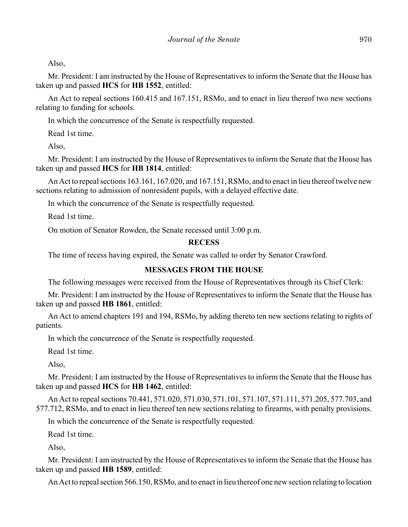Also,

Mr. President: I am instructed by the House of Representatives to inform the Senate that the House has taken up and passed **HCS** for **HB 1552**, entitled:

An Act to repeal sections 160.415 and 167.151, RSMo, and to enact in lieu thereof two new sections relating to funding for schools.

In which the concurrence of the Senate is respectfully requested.

Read 1st time.

Also,

Mr. President: I am instructed by the House of Representatives to inform the Senate that the House has taken up and passed **HCS** for **HB 1814**, entitled:

An Act to repeal sections 163.161, 167.020, and 167.151, RSMo, and to enact in lieu thereof twelve new sections relating to admission of nonresident pupils, with a delayed effective date.

In which the concurrence of the Senate is respectfully requested.

Read 1st time.

On motion of Senator Rowden, the Senate recessed until 3:00 p.m.

### **RECESS**

The time of recess having expired, the Senate was called to order by Senator Crawford.

### **MESSAGES FROM THE HOUSE**

The following messages were received from the House of Representatives through its Chief Clerk:

Mr. President: I am instructed by the House of Representatives to inform the Senate that the House has taken up and passed **HB 1861**, entitled:

An Act to amend chapters 191 and 194, RSMo, by adding thereto ten new sections relating to rights of patients.

In which the concurrence of the Senate is respectfully requested.

Read 1st time.

Also,

Mr. President: I am instructed by the House of Representatives to inform the Senate that the House has taken up and passed **HCS** for **HB 1462**, entitled:

An Act to repeal sections 70.441, 571.020, 571.030, 571.101, 571.107, 571.111, 571.205, 577.703, and 577.712, RSMo, and to enact in lieu thereof ten new sections relating to firearms, with penalty provisions.

In which the concurrence of the Senate is respectfully requested.

Read 1st time.

Also,

Mr. President: I am instructed by the House of Representatives to inform the Senate that the House has taken up and passed **HB 1589**, entitled:

An Act to repeal section 566.150, RSMo, and to enact in lieu thereof one new section relating to location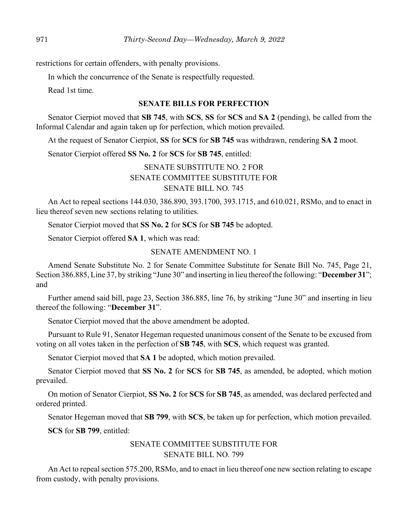restrictions for certain offenders, with penalty provisions.

In which the concurrence of the Senate is respectfully requested.

Read 1st time.

### **SENATE BILLS FOR PERFECTION**

Senator Cierpiot moved that **SB 745**, with **SCS**, **SS** for **SCS** and **SA 2** (pending), be called from the Informal Calendar and again taken up for perfection, which motion prevailed.

At the request of Senator Cierpiot, **SS** for **SCS** for **SB 745** was withdrawn, rendering **SA 2** moot.

Senator Cierpiot offered **SS No. 2** for **SCS** for **SB 745**, entitled:

# SENATE SUBSTITUTE NO. 2 FOR SENATE COMMITTEE SUBSTITUTE FOR SENATE BILL NO. 745

An Act to repeal sections 144.030, 386.890, 393.1700, 393.1715, and 610.021, RSMo, and to enact in lieu thereof seven new sections relating to utilities.

Senator Cierpiot moved that **SS No. 2** for **SCS** for **SB 745** be adopted.

Senator Cierpiot offered **SA 1**, which was read:

### SENATE AMENDMENT NO. 1

Amend Senate Substitute No. 2 for Senate Committee Substitute for Senate Bill No. 745, Page 21, Section 386.885, Line 37, by striking "June 30" and inserting in lieu thereof the following: "**December 31**"; and

Further amend said bill, page 23, Section 386.885, line 76, by striking "June 30" and inserting in lieu thereof the following: "**December 31**".

Senator Cierpiot moved that the above amendment be adopted.

Pursuant to Rule 91, Senator Hegeman requested unanimous consent of the Senate to be excused from voting on all votes taken in the perfection of **SB 745**, with **SCS**, which request was granted.

Senator Cierpiot moved that **SA 1** be adopted, which motion prevailed.

Senator Cierpiot moved that **SS No. 2** for **SCS** for **SB 745**, as amended, be adopted, which motion prevailed.

On motion of Senator Cierpiot, **SS No. 2** for **SCS** for **SB 745**, as amended, was declared perfected and ordered printed.

Senator Hegeman moved that **SB 799**, with **SCS**, be taken up for perfection, which motion prevailed.

**SCS** for **SB 799**, entitled:

# SENATE COMMITTEE SUBSTITUTE FOR SENATE BILL NO. 799

An Act to repeal section 575.200, RSMo, and to enact in lieu thereof one new section relating to escape from custody, with penalty provisions.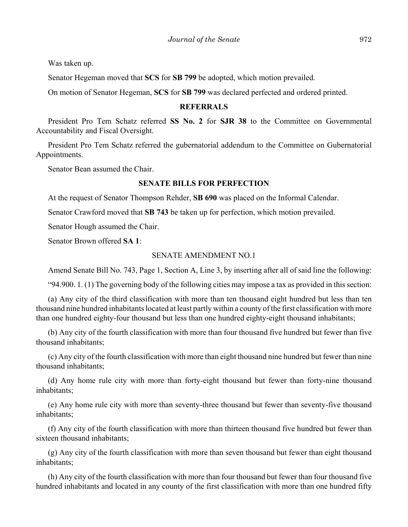Was taken up.

Senator Hegeman moved that **SCS** for **SB 799** be adopted, which motion prevailed.

On motion of Senator Hegeman, **SCS** for **SB 799** was declared perfected and ordered printed.

### **REFERRALS**

President Pro Tem Schatz referred **SS No. 2** for **SJR 38** to the Committee on Governmental Accountability and Fiscal Oversight.

President Pro Tem Schatz referred the gubernatorial addendum to the Committee on Gubernatorial Appointments.

Senator Bean assumed the Chair.

# **SENATE BILLS FOR PERFECTION**

At the request of Senator Thompson Rehder, **SB 690** was placed on the Informal Calendar.

Senator Crawford moved that **SB 743** be taken up for perfection, which motion prevailed.

Senator Hough assumed the Chair.

Senator Brown offered **SA 1**:

### SENATE AMENDMENT NO.1

Amend Senate Bill No. 743, Page 1, Section A, Line 3, by inserting after all of said line the following:

"94.900. 1. (1) The governing body of the following cities may impose a tax as provided in this section:

(a) Any city of the third classification with more than ten thousand eight hundred but less than ten thousand nine hundred inhabitants located at least partly within a county of the first classification with more than one hundred eighty-four thousand but less than one hundred eighty-eight thousand inhabitants;

(b) Any city of the fourth classification with more than four thousand five hundred but fewer than five thousand inhabitants;

(c) Any city of the fourth classification with more than eight thousand nine hundred but fewer than nine thousand inhabitants;

(d) Any home rule city with more than forty-eight thousand but fewer than forty-nine thousand inhabitants;

(e) Any home rule city with more than seventy-three thousand but fewer than seventy-five thousand inhabitants;

(f) Any city of the fourth classification with more than thirteen thousand five hundred but fewer than sixteen thousand inhabitants;

(g) Any city of the fourth classification with more than seven thousand but fewer than eight thousand inhabitants;

(h) Any city of the fourth classification with more than four thousand but fewer than four thousand five hundred inhabitants and located in any county of the first classification with more than one hundred fifty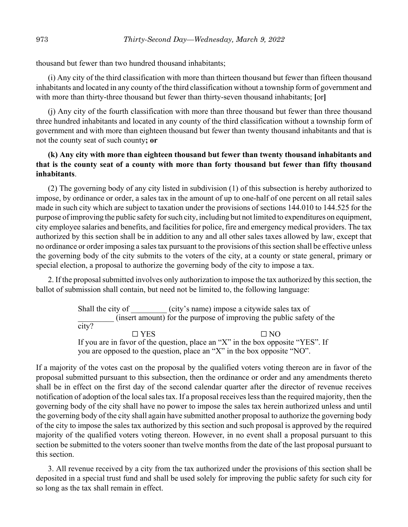thousand but fewer than two hundred thousand inhabitants;

(i) Any city of the third classification with more than thirteen thousand but fewer than fifteen thousand inhabitants and located in any county of the third classification without a township form of government and with more than thirty-three thousand but fewer than thirty-seven thousand inhabitants; **[**or**]**

(j) Any city of the fourth classification with more than three thousand but fewer than three thousand three hundred inhabitants and located in any county of the third classification without a township form of government and with more than eighteen thousand but fewer than twenty thousand inhabitants and that is not the county seat of such county**; or**

# **(k) Any city with more than eighteen thousand but fewer than twenty thousand inhabitants and that is the county seat of a county with more than forty thousand but fewer than fifty thousand inhabitants**.

(2) The governing body of any city listed in subdivision (1) of this subsection is hereby authorized to impose, by ordinance or order, a sales tax in the amount of up to one-half of one percent on all retail sales made in such city which are subject to taxation under the provisions of sections 144.010 to 144.525 for the purpose of improving the public safety for such city, including but not limited to expenditures on equipment, city employee salaries and benefits, and facilities for police, fire and emergency medical providers. The tax authorized by this section shall be in addition to any and all other sales taxes allowed by law, except that no ordinance or order imposing a sales tax pursuant to the provisions of this section shall be effective unless the governing body of the city submits to the voters of the city, at a county or state general, primary or special election, a proposal to authorize the governing body of the city to impose a tax.

2. If the proposal submitted involves only authorization to impose the tax authorized by this section, the ballot of submission shall contain, but need not be limited to, the following language:

> Shall the city of (city's name) impose a citywide sales tax of \_\_\_\_\_\_\_\_\_ (insert amount) for the purpose of improving the public safety of the city?  $\Box$  YES  $\Box$  NO If you are in favor of the question, place an "X" in the box opposite "YES". If you are opposed to the question, place an "X" in the box opposite "NO".

If a majority of the votes cast on the proposal by the qualified voters voting thereon are in favor of the proposal submitted pursuant to this subsection, then the ordinance or order and any amendments thereto shall be in effect on the first day of the second calendar quarter after the director of revenue receives notification of adoption of the local sales tax. If a proposal receives less than the required majority, then the governing body of the city shall have no power to impose the sales tax herein authorized unless and until the governing body of the city shall again have submitted another proposal to authorize the governing body of the city to impose the sales tax authorized by this section and such proposal is approved by the required majority of the qualified voters voting thereon. However, in no event shall a proposal pursuant to this section be submitted to the voters sooner than twelve months from the date of the last proposal pursuant to this section.

3. All revenue received by a city from the tax authorized under the provisions of this section shall be deposited in a special trust fund and shall be used solely for improving the public safety for such city for so long as the tax shall remain in effect.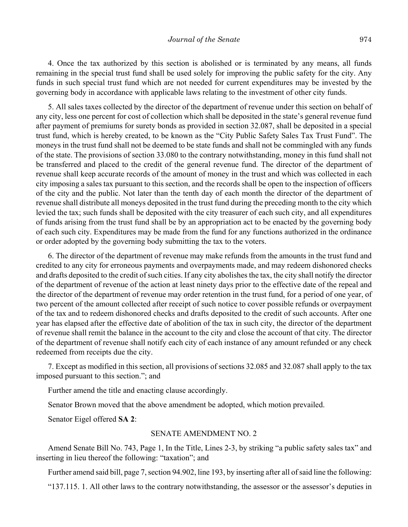4. Once the tax authorized by this section is abolished or is terminated by any means, all funds remaining in the special trust fund shall be used solely for improving the public safety for the city. Any funds in such special trust fund which are not needed for current expenditures may be invested by the governing body in accordance with applicable laws relating to the investment of other city funds.

5. All sales taxes collected by the director of the department of revenue under this section on behalf of any city, less one percent for cost of collection which shall be deposited in the state's general revenue fund after payment of premiums for surety bonds as provided in section 32.087, shall be deposited in a special trust fund, which is hereby created, to be known as the "City Public Safety Sales Tax Trust Fund". The moneys in the trust fund shall not be deemed to be state funds and shall not be commingled with any funds of the state. The provisions of section 33.080 to the contrary notwithstanding, money in this fund shall not be transferred and placed to the credit of the general revenue fund. The director of the department of revenue shall keep accurate records of the amount of money in the trust and which was collected in each city imposing a sales tax pursuant to this section, and the records shall be open to the inspection of officers of the city and the public. Not later than the tenth day of each month the director of the department of revenue shall distribute all moneys deposited in the trust fund during the preceding month to the city which levied the tax; such funds shall be deposited with the city treasurer of each such city, and all expenditures of funds arising from the trust fund shall be by an appropriation act to be enacted by the governing body of each such city. Expenditures may be made from the fund for any functions authorized in the ordinance or order adopted by the governing body submitting the tax to the voters.

6. The director of the department of revenue may make refunds from the amounts in the trust fund and credited to any city for erroneous payments and overpayments made, and may redeem dishonored checks and drafts deposited to the credit of such cities. If any city abolishes the tax, the city shall notify the director of the department of revenue of the action at least ninety days prior to the effective date of the repeal and the director of the department of revenue may order retention in the trust fund, for a period of one year, of two percent of the amount collected after receipt of such notice to cover possible refunds or overpayment of the tax and to redeem dishonored checks and drafts deposited to the credit of such accounts. After one year has elapsed after the effective date of abolition of the tax in such city, the director of the department of revenue shall remit the balance in the account to the city and close the account of that city. The director of the department of revenue shall notify each city of each instance of any amount refunded or any check redeemed from receipts due the city.

7. Except as modified in this section, all provisions of sections 32.085 and 32.087 shall apply to the tax imposed pursuant to this section."; and

Further amend the title and enacting clause accordingly.

Senator Brown moved that the above amendment be adopted, which motion prevailed.

Senator Eigel offered **SA 2**:

### SENATE AMENDMENT NO. 2

Amend Senate Bill No. 743, Page 1, In the Title, Lines 2-3, by striking "a public safety sales tax" and inserting in lieu thereof the following: "taxation"; and

Further amend said bill, page 7, section 94.902, line 193, by inserting after all of said line the following:

"137.115. 1. All other laws to the contrary notwithstanding, the assessor or the assessor's deputies in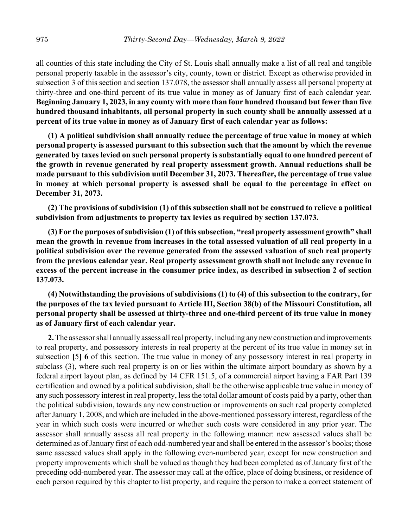all counties of this state including the City of St. Louis shall annually make a list of all real and tangible personal property taxable in the assessor's city, county, town or district. Except as otherwise provided in subsection 3 of this section and section 137.078, the assessor shall annually assess all personal property at thirty-three and one-third percent of its true value in money as of January first of each calendar year. **Beginning January 1, 2023, in any county with more than four hundred thousand but fewer than five hundred thousand inhabitants, all personal property in such county shall be annually assessed at a percent of its true value in money as of January first of each calendar year as follows:**

**(1) A political subdivision shall annually reduce the percentage of true value in money at which personal property is assessed pursuant to this subsection such that the amount by which the revenue generated by taxes levied on such personal property is substantially equal to one hundred percent of the growth in revenue generated by real property assessment growth. Annual reductions shall be made pursuant to this subdivision until December 31, 2073. Thereafter, the percentage of true value in money at which personal property is assessed shall be equal to the percentage in effect on December 31, 2073.**

**(2) The provisions of subdivision (1) of this subsection shall not be construed to relieve a political subdivision from adjustments to property tax levies as required by section 137.073.**

**(3) For the purposes of subdivision (1) of this subsection, "real property assessment growth" shall mean the growth in revenue from increases in the total assessed valuation of all real property in a political subdivision over the revenue generated from the assessed valuation of such real property from the previous calendar year. Real property assessment growth shall not include any revenue in excess of the percent increase in the consumer price index, as described in subsection 2 of section 137.073.**

# **(4) Notwithstanding the provisions of subdivisions (1) to (4) of this subsection to the contrary, for the purposes of the tax levied pursuant to Article III, Section 38(b) of the Missouri Constitution, all personal property shall be assessed at thirty-three and one-third percent of its true value in money as of January first of each calendar year.**

**2.** The assessor shall annually assess all real property, including any new construction and improvements to real property, and possessory interests in real property at the percent of its true value in money set in subsection **[**5**] 6** of this section. The true value in money of any possessory interest in real property in subclass (3), where such real property is on or lies within the ultimate airport boundary as shown by a federal airport layout plan, as defined by 14 CFR 151.5, of a commercial airport having a FAR Part 139 certification and owned by a political subdivision, shall be the otherwise applicable true value in money of any such possessory interest in real property, less the total dollar amount of costs paid by a party, other than the political subdivision, towards any new construction or improvements on such real property completed after January 1, 2008, and which are included in the above-mentioned possessory interest, regardless of the year in which such costs were incurred or whether such costs were considered in any prior year. The assessor shall annually assess all real property in the following manner: new assessed values shall be determined as of January first of each odd-numbered year and shall be entered in the assessor's books; those same assessed values shall apply in the following even-numbered year, except for new construction and property improvements which shall be valued as though they had been completed as of January first of the preceding odd-numbered year. The assessor may call at the office, place of doing business, or residence of each person required by this chapter to list property, and require the person to make a correct statement of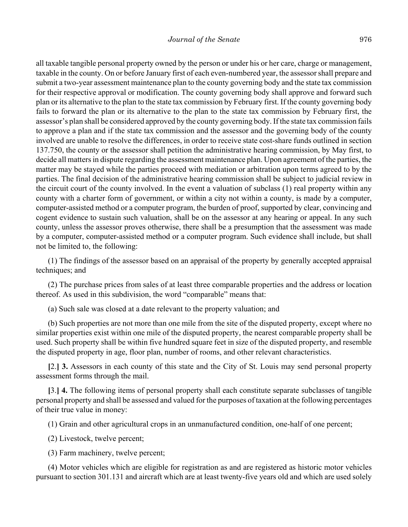all taxable tangible personal property owned by the person or under his or her care, charge or management, taxable in the county. On or before January first of each even-numbered year, the assessor shall prepare and submit a two-year assessment maintenance plan to the county governing body and the state tax commission for their respective approval or modification. The county governing body shall approve and forward such plan or its alternative to the plan to the state tax commission by February first. If the county governing body fails to forward the plan or its alternative to the plan to the state tax commission by February first, the assessor's plan shall be considered approved by the county governing body. If the state tax commission fails to approve a plan and if the state tax commission and the assessor and the governing body of the county involved are unable to resolve the differences, in order to receive state cost-share funds outlined in section 137.750, the county or the assessor shall petition the administrative hearing commission, by May first, to decide all matters in dispute regarding the assessment maintenance plan. Upon agreement of the parties, the matter may be stayed while the parties proceed with mediation or arbitration upon terms agreed to by the parties. The final decision of the administrative hearing commission shall be subject to judicial review in the circuit court of the county involved. In the event a valuation of subclass (1) real property within any county with a charter form of government, or within a city not within a county, is made by a computer, computer-assisted method or a computer program, the burden of proof, supported by clear, convincing and cogent evidence to sustain such valuation, shall be on the assessor at any hearing or appeal. In any such county, unless the assessor proves otherwise, there shall be a presumption that the assessment was made by a computer, computer-assisted method or a computer program. Such evidence shall include, but shall not be limited to, the following:

(1) The findings of the assessor based on an appraisal of the property by generally accepted appraisal techniques; and

(2) The purchase prices from sales of at least three comparable properties and the address or location thereof. As used in this subdivision, the word "comparable" means that:

(a) Such sale was closed at a date relevant to the property valuation; and

(b) Such properties are not more than one mile from the site of the disputed property, except where no similar properties exist within one mile of the disputed property, the nearest comparable property shall be used. Such property shall be within five hundred square feet in size of the disputed property, and resemble the disputed property in age, floor plan, number of rooms, and other relevant characteristics.

**[**2.**] 3.** Assessors in each county of this state and the City of St. Louis may send personal property assessment forms through the mail.

**[**3.**] 4.** The following items of personal property shall each constitute separate subclasses of tangible personal property and shall be assessed and valued for the purposes of taxation at the following percentages of their true value in money:

(1) Grain and other agricultural crops in an unmanufactured condition, one-half of one percent;

(2) Livestock, twelve percent;

(3) Farm machinery, twelve percent;

(4) Motor vehicles which are eligible for registration as and are registered as historic motor vehicles pursuant to section 301.131 and aircraft which are at least twenty-five years old and which are used solely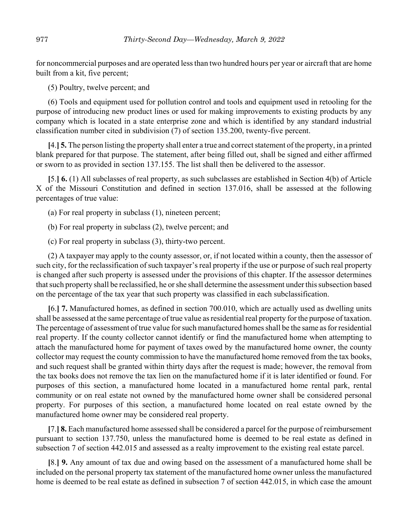for noncommercial purposes and are operated less than two hundred hours per year or aircraft that are home built from a kit, five percent;

(5) Poultry, twelve percent; and

(6) Tools and equipment used for pollution control and tools and equipment used in retooling for the purpose of introducing new product lines or used for making improvements to existing products by any company which is located in a state enterprise zone and which is identified by any standard industrial classification number cited in subdivision (7) of section 135.200, twenty-five percent.

**[**4.**] 5.** The person listing the property shall enter a true and correct statement of the property, in a printed blank prepared for that purpose. The statement, after being filled out, shall be signed and either affirmed or sworn to as provided in section 137.155. The list shall then be delivered to the assessor.

**[**5.**] 6.** (1) All subclasses of real property, as such subclasses are established in Section 4(b) of Article X of the Missouri Constitution and defined in section 137.016, shall be assessed at the following percentages of true value:

(a) For real property in subclass (1), nineteen percent;

(b) For real property in subclass (2), twelve percent; and

(c) For real property in subclass (3), thirty-two percent.

(2) A taxpayer may apply to the county assessor, or, if not located within a county, then the assessor of such city, for the reclassification of such taxpayer's real property if the use or purpose of such real property is changed after such property is assessed under the provisions of this chapter. If the assessor determines that such property shall be reclassified, he or she shall determine the assessment under this subsection based on the percentage of the tax year that such property was classified in each subclassification.

**[**6.**] 7.** Manufactured homes, as defined in section 700.010, which are actually used as dwelling units shall be assessed at the same percentage of true value as residential real property for the purpose of taxation. The percentage of assessment of true value for such manufactured homes shall be the same as for residential real property. If the county collector cannot identify or find the manufactured home when attempting to attach the manufactured home for payment of taxes owed by the manufactured home owner, the county collector may request the county commission to have the manufactured home removed from the tax books, and such request shall be granted within thirty days after the request is made; however, the removal from the tax books does not remove the tax lien on the manufactured home if it is later identified or found. For purposes of this section, a manufactured home located in a manufactured home rental park, rental community or on real estate not owned by the manufactured home owner shall be considered personal property. For purposes of this section, a manufactured home located on real estate owned by the manufactured home owner may be considered real property.

**[**7.**] 8.** Each manufactured home assessed shall be considered a parcel for the purpose of reimbursement pursuant to section 137.750, unless the manufactured home is deemed to be real estate as defined in subsection 7 of section 442.015 and assessed as a realty improvement to the existing real estate parcel.

**[**8.**] 9.** Any amount of tax due and owing based on the assessment of a manufactured home shall be included on the personal property tax statement of the manufactured home owner unless the manufactured home is deemed to be real estate as defined in subsection 7 of section 442.015, in which case the amount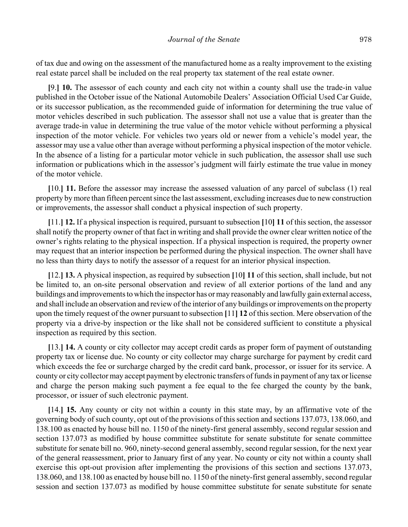of tax due and owing on the assessment of the manufactured home as a realty improvement to the existing real estate parcel shall be included on the real property tax statement of the real estate owner.

**[**9.**] 10.** The assessor of each county and each city not within a county shall use the trade-in value published in the October issue of the National Automobile Dealers' Association Official Used Car Guide, or its successor publication, as the recommended guide of information for determining the true value of motor vehicles described in such publication. The assessor shall not use a value that is greater than the average trade-in value in determining the true value of the motor vehicle without performing a physical inspection of the motor vehicle. For vehicles two years old or newer from a vehicle's model year, the assessor may use a value other than average without performing a physical inspection of the motor vehicle. In the absence of a listing for a particular motor vehicle in such publication, the assessor shall use such information or publications which in the assessor's judgment will fairly estimate the true value in money of the motor vehicle.

**[**10.**] 11.** Before the assessor may increase the assessed valuation of any parcel of subclass (1) real property by more than fifteen percent since the last assessment, excluding increases due to new construction or improvements, the assessor shall conduct a physical inspection of such property.

**[**11.**] 12.** If a physical inspection is required, pursuant to subsection **[**10**] 11** of this section, the assessor shall notify the property owner of that fact in writing and shall provide the owner clear written notice of the owner's rights relating to the physical inspection. If a physical inspection is required, the property owner may request that an interior inspection be performed during the physical inspection. The owner shall have no less than thirty days to notify the assessor of a request for an interior physical inspection.

**[**12.**] 13.** A physical inspection, as required by subsection **[**10**] 11** of this section, shall include, but not be limited to, an on-site personal observation and review of all exterior portions of the land and any buildings and improvements to which the inspector has or may reasonably and lawfully gain external access, and shall include an observation and review of the interior of any buildings or improvements on the property upon the timely request of the owner pursuant to subsection **[**11**] 12** of this section. Mere observation of the property via a drive-by inspection or the like shall not be considered sufficient to constitute a physical inspection as required by this section.

**[**13.**] 14.** A county or city collector may accept credit cards as proper form of payment of outstanding property tax or license due. No county or city collector may charge surcharge for payment by credit card which exceeds the fee or surcharge charged by the credit card bank, processor, or issuer for its service. A county or city collector may accept payment by electronic transfers of funds in payment of any tax or license and charge the person making such payment a fee equal to the fee charged the county by the bank, processor, or issuer of such electronic payment.

**[**14.**] 15.** Any county or city not within a county in this state may, by an affirmative vote of the governing body of such county, opt out of the provisions of this section and sections 137.073, 138.060, and 138.100 as enacted by house bill no. 1150 of the ninety-first general assembly, second regular session and section 137.073 as modified by house committee substitute for senate substitute for senate committee substitute for senate bill no. 960, ninety-second general assembly, second regular session, for the next year of the general reassessment, prior to January first of any year. No county or city not within a county shall exercise this opt-out provision after implementing the provisions of this section and sections 137.073, 138.060, and 138.100 as enacted by house bill no. 1150 of the ninety-first general assembly, second regular session and section 137.073 as modified by house committee substitute for senate substitute for senate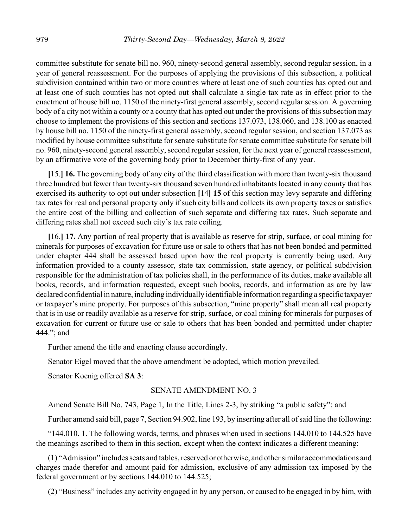committee substitute for senate bill no. 960, ninety-second general assembly, second regular session, in a year of general reassessment. For the purposes of applying the provisions of this subsection, a political subdivision contained within two or more counties where at least one of such counties has opted out and at least one of such counties has not opted out shall calculate a single tax rate as in effect prior to the enactment of house bill no. 1150 of the ninety-first general assembly, second regular session. A governing body of a city not within a county or a county that has opted out under the provisions of this subsection may choose to implement the provisions of this section and sections 137.073, 138.060, and 138.100 as enacted by house bill no. 1150 of the ninety-first general assembly, second regular session, and section 137.073 as modified by house committee substitute for senate substitute for senate committee substitute for senate bill no. 960, ninety-second general assembly, second regular session, for the next year of general reassessment, by an affirmative vote of the governing body prior to December thirty-first of any year.

**[**15.**] 16.** The governing body of any city of the third classification with more than twenty-six thousand three hundred but fewer than twenty-six thousand seven hundred inhabitants located in any county that has exercised its authority to opt out under subsection **[**14**] 15** of this section may levy separate and differing tax rates for real and personal property only if such city bills and collects its own property taxes or satisfies the entire cost of the billing and collection of such separate and differing tax rates. Such separate and differing rates shall not exceed such city's tax rate ceiling.

**[**16.**] 17.** Any portion of real property that is available as reserve for strip, surface, or coal mining for minerals for purposes of excavation for future use or sale to others that has not been bonded and permitted under chapter 444 shall be assessed based upon how the real property is currently being used. Any information provided to a county assessor, state tax commission, state agency, or political subdivision responsible for the administration of tax policies shall, in the performance of its duties, make available all books, records, and information requested, except such books, records, and information as are by law declared confidential in nature, including individually identifiable information regarding a specific taxpayer or taxpayer's mine property. For purposes of this subsection, "mine property" shall mean all real property that is in use or readily available as a reserve for strip, surface, or coal mining for minerals for purposes of excavation for current or future use or sale to others that has been bonded and permitted under chapter 444."; and

Further amend the title and enacting clause accordingly.

Senator Eigel moved that the above amendment be adopted, which motion prevailed.

Senator Koenig offered **SA 3**:

#### SENATE AMENDMENT NO. 3

Amend Senate Bill No. 743, Page 1, In the Title, Lines 2-3, by striking "a public safety"; and

Further amend said bill, page 7, Section 94.902, line 193, by inserting after all of said line the following:

"144.010. 1. The following words, terms, and phrases when used in sections 144.010 to 144.525 have the meanings ascribed to them in this section, except when the context indicates a different meaning:

(1) "Admission" includes seats and tables, reserved or otherwise, and other similar accommodations and charges made therefor and amount paid for admission, exclusive of any admission tax imposed by the federal government or by sections 144.010 to 144.525;

(2) "Business" includes any activity engaged in by any person, or caused to be engaged in by him, with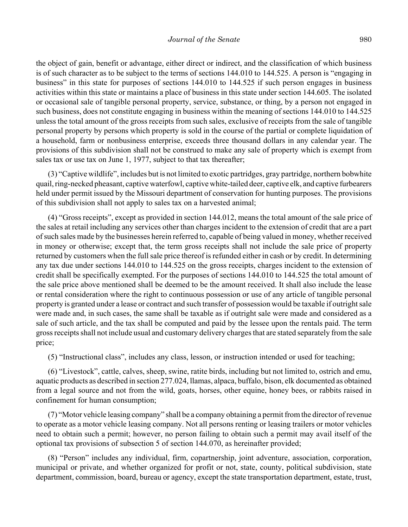the object of gain, benefit or advantage, either direct or indirect, and the classification of which business is of such character as to be subject to the terms of sections 144.010 to 144.525. A person is "engaging in business" in this state for purposes of sections 144.010 to 144.525 if such person engages in business activities within this state or maintains a place of business in this state under section 144.605. The isolated or occasional sale of tangible personal property, service, substance, or thing, by a person not engaged in such business, does not constitute engaging in business within the meaning of sections 144.010 to 144.525 unless the total amount of the gross receipts from such sales, exclusive of receipts from the sale of tangible personal property by persons which property is sold in the course of the partial or complete liquidation of a household, farm or nonbusiness enterprise, exceeds three thousand dollars in any calendar year. The provisions of this subdivision shall not be construed to make any sale of property which is exempt from sales tax or use tax on June 1, 1977, subject to that tax thereafter;

(3) "Captive wildlife", includes but is not limited to exotic partridges, gray partridge, northern bobwhite quail, ring-necked pheasant, captive waterfowl, captive white-tailed deer, captive elk, and captive furbearers held under permit issued by the Missouri department of conservation for hunting purposes. The provisions of this subdivision shall not apply to sales tax on a harvested animal;

(4) "Gross receipts", except as provided in section 144.012, means the total amount of the sale price of the sales at retail including any services other than charges incident to the extension of credit that are a part of such sales made by the businesses herein referred to, capable of being valued in money, whether received in money or otherwise; except that, the term gross receipts shall not include the sale price of property returned by customers when the full sale price thereof is refunded either in cash or by credit. In determining any tax due under sections 144.010 to 144.525 on the gross receipts, charges incident to the extension of credit shall be specifically exempted. For the purposes of sections 144.010 to 144.525 the total amount of the sale price above mentioned shall be deemed to be the amount received. It shall also include the lease or rental consideration where the right to continuous possession or use of any article of tangible personal property is granted under a lease or contract and such transfer of possession would be taxable if outright sale were made and, in such cases, the same shall be taxable as if outright sale were made and considered as a sale of such article, and the tax shall be computed and paid by the lessee upon the rentals paid. The term gross receipts shall not include usual and customary delivery charges that are stated separately from the sale price;

(5) "Instructional class", includes any class, lesson, or instruction intended or used for teaching;

(6) "Livestock", cattle, calves, sheep, swine, ratite birds, including but not limited to, ostrich and emu, aquatic products as described in section 277.024, llamas, alpaca, buffalo, bison, elk documented as obtained from a legal source and not from the wild, goats, horses, other equine, honey bees, or rabbits raised in confinement for human consumption;

(7) "Motor vehicle leasing company" shall be a company obtaining a permit from the director of revenue to operate as a motor vehicle leasing company. Not all persons renting or leasing trailers or motor vehicles need to obtain such a permit; however, no person failing to obtain such a permit may avail itself of the optional tax provisions of subsection 5 of section 144.070, as hereinafter provided;

(8) "Person" includes any individual, firm, copartnership, joint adventure, association, corporation, municipal or private, and whether organized for profit or not, state, county, political subdivision, state department, commission, board, bureau or agency, except the state transportation department, estate, trust,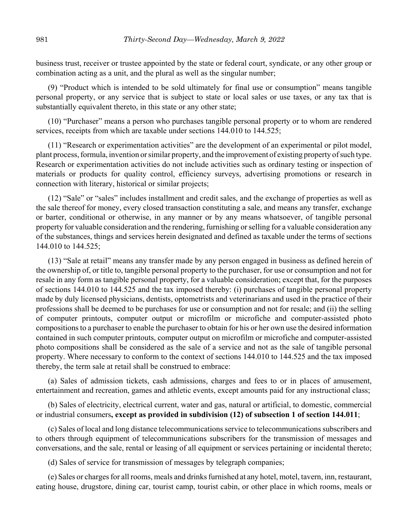business trust, receiver or trustee appointed by the state or federal court, syndicate, or any other group or combination acting as a unit, and the plural as well as the singular number;

(9) "Product which is intended to be sold ultimately for final use or consumption" means tangible personal property, or any service that is subject to state or local sales or use taxes, or any tax that is substantially equivalent thereto, in this state or any other state;

(10) "Purchaser" means a person who purchases tangible personal property or to whom are rendered services, receipts from which are taxable under sections 144.010 to 144.525;

(11) "Research or experimentation activities" are the development of an experimental or pilot model, plant process, formula, invention or similar property, and the improvement of existing property of such type. Research or experimentation activities do not include activities such as ordinary testing or inspection of materials or products for quality control, efficiency surveys, advertising promotions or research in connection with literary, historical or similar projects;

(12) "Sale" or "sales" includes installment and credit sales, and the exchange of properties as well as the sale thereof for money, every closed transaction constituting a sale, and means any transfer, exchange or barter, conditional or otherwise, in any manner or by any means whatsoever, of tangible personal property for valuable consideration and the rendering, furnishing or selling for a valuable consideration any of the substances, things and services herein designated and defined as taxable under the terms of sections 144.010 to 144.525;

(13) "Sale at retail" means any transfer made by any person engaged in business as defined herein of the ownership of, or title to, tangible personal property to the purchaser, for use or consumption and not for resale in any form as tangible personal property, for a valuable consideration; except that, for the purposes of sections 144.010 to 144.525 and the tax imposed thereby: (i) purchases of tangible personal property made by duly licensed physicians, dentists, optometrists and veterinarians and used in the practice of their professions shall be deemed to be purchases for use or consumption and not for resale; and (ii) the selling of computer printouts, computer output or microfilm or microfiche and computer-assisted photo compositions to a purchaser to enable the purchaser to obtain for his or her own use the desired information contained in such computer printouts, computer output on microfilm or microfiche and computer-assisted photo compositions shall be considered as the sale of a service and not as the sale of tangible personal property. Where necessary to conform to the context of sections 144.010 to 144.525 and the tax imposed thereby, the term sale at retail shall be construed to embrace:

(a) Sales of admission tickets, cash admissions, charges and fees to or in places of amusement, entertainment and recreation, games and athletic events, except amounts paid for any instructional class;

(b) Sales of electricity, electrical current, water and gas, natural or artificial, to domestic, commercial or industrial consumers**, except as provided in subdivision (12) of subsection 1 of section 144.011**;

(c) Sales of local and long distance telecommunications service to telecommunications subscribers and to others through equipment of telecommunications subscribers for the transmission of messages and conversations, and the sale, rental or leasing of all equipment or services pertaining or incidental thereto;

(d) Sales of service for transmission of messages by telegraph companies;

(e) Sales or charges for all rooms, meals and drinks furnished at any hotel, motel, tavern, inn, restaurant, eating house, drugstore, dining car, tourist camp, tourist cabin, or other place in which rooms, meals or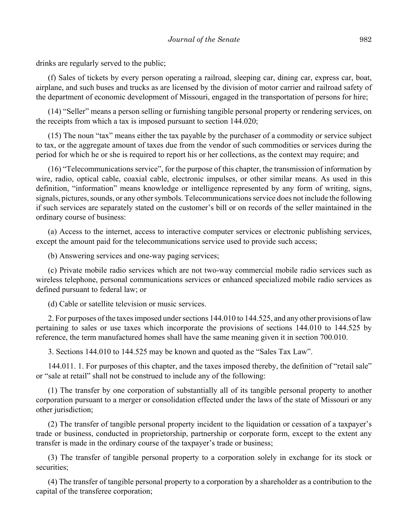drinks are regularly served to the public;

(f) Sales of tickets by every person operating a railroad, sleeping car, dining car, express car, boat, airplane, and such buses and trucks as are licensed by the division of motor carrier and railroad safety of the department of economic development of Missouri, engaged in the transportation of persons for hire;

(14) "Seller" means a person selling or furnishing tangible personal property or rendering services, on the receipts from which a tax is imposed pursuant to section 144.020;

(15) The noun "tax" means either the tax payable by the purchaser of a commodity or service subject to tax, or the aggregate amount of taxes due from the vendor of such commodities or services during the period for which he or she is required to report his or her collections, as the context may require; and

(16) "Telecommunications service", for the purpose of this chapter, the transmission of information by wire, radio, optical cable, coaxial cable, electronic impulses, or other similar means. As used in this definition, "information" means knowledge or intelligence represented by any form of writing, signs, signals, pictures, sounds, or any other symbols. Telecommunications service does not include the following if such services are separately stated on the customer's bill or on records of the seller maintained in the ordinary course of business:

(a) Access to the internet, access to interactive computer services or electronic publishing services, except the amount paid for the telecommunications service used to provide such access;

(b) Answering services and one-way paging services;

(c) Private mobile radio services which are not two-way commercial mobile radio services such as wireless telephone, personal communications services or enhanced specialized mobile radio services as defined pursuant to federal law; or

(d) Cable or satellite television or music services.

2. For purposes of the taxes imposed under sections 144.010 to 144.525, and any other provisions of law pertaining to sales or use taxes which incorporate the provisions of sections 144.010 to 144.525 by reference, the term manufactured homes shall have the same meaning given it in section 700.010.

3. Sections 144.010 to 144.525 may be known and quoted as the "Sales Tax Law".

144.011. 1. For purposes of this chapter, and the taxes imposed thereby, the definition of "retail sale" or "sale at retail" shall not be construed to include any of the following:

(1) The transfer by one corporation of substantially all of its tangible personal property to another corporation pursuant to a merger or consolidation effected under the laws of the state of Missouri or any other jurisdiction;

(2) The transfer of tangible personal property incident to the liquidation or cessation of a taxpayer's trade or business, conducted in proprietorship, partnership or corporate form, except to the extent any transfer is made in the ordinary course of the taxpayer's trade or business;

(3) The transfer of tangible personal property to a corporation solely in exchange for its stock or securities;

(4) The transfer of tangible personal property to a corporation by a shareholder as a contribution to the capital of the transferee corporation;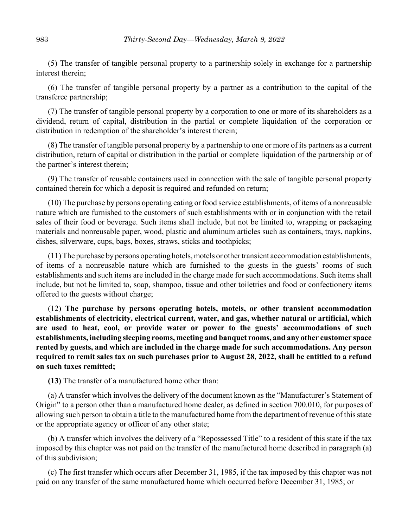(5) The transfer of tangible personal property to a partnership solely in exchange for a partnership interest therein;

(6) The transfer of tangible personal property by a partner as a contribution to the capital of the transferee partnership;

(7) The transfer of tangible personal property by a corporation to one or more of its shareholders as a dividend, return of capital, distribution in the partial or complete liquidation of the corporation or distribution in redemption of the shareholder's interest therein;

(8) The transfer of tangible personal property by a partnership to one or more of its partners as a current distribution, return of capital or distribution in the partial or complete liquidation of the partnership or of the partner's interest therein;

(9) The transfer of reusable containers used in connection with the sale of tangible personal property contained therein for which a deposit is required and refunded on return;

(10) The purchase by persons operating eating or food service establishments, of items of a nonreusable nature which are furnished to the customers of such establishments with or in conjunction with the retail sales of their food or beverage. Such items shall include, but not be limited to, wrapping or packaging materials and nonreusable paper, wood, plastic and aluminum articles such as containers, trays, napkins, dishes, silverware, cups, bags, boxes, straws, sticks and toothpicks;

(11) The purchase by persons operating hotels, motels or other transient accommodation establishments, of items of a nonreusable nature which are furnished to the guests in the guests' rooms of such establishments and such items are included in the charge made for such accommodations. Such items shall include, but not be limited to, soap, shampoo, tissue and other toiletries and food or confectionery items offered to the guests without charge;

(12) **The purchase by persons operating hotels, motels, or other transient accommodation establishments of electricity, electrical current, water, and gas, whether natural or artificial, which are used to heat, cool, or provide water or power to the guests' accommodations of such establishments, including sleeping rooms, meeting and banquet rooms, and any other customer space rented by guests, and which are included in the charge made for such accommodations. Any person required to remit sales tax on such purchases prior to August 28, 2022, shall be entitled to a refund on such taxes remitted;**

**(13)** The transfer of a manufactured home other than:

(a) A transfer which involves the delivery of the document known as the "Manufacturer's Statement of Origin" to a person other than a manufactured home dealer, as defined in section 700.010, for purposes of allowing such person to obtain a title to the manufactured home from the department of revenue of this state or the appropriate agency or officer of any other state;

(b) A transfer which involves the delivery of a "Repossessed Title" to a resident of this state if the tax imposed by this chapter was not paid on the transfer of the manufactured home described in paragraph (a) of this subdivision;

(c) The first transfer which occurs after December 31, 1985, if the tax imposed by this chapter was not paid on any transfer of the same manufactured home which occurred before December 31, 1985; or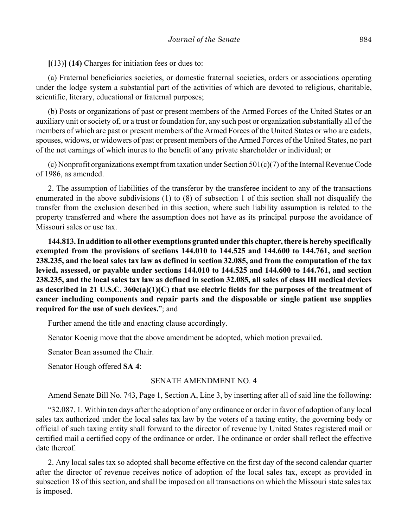**[**(13)**] (14)** Charges for initiation fees or dues to:

(a) Fraternal beneficiaries societies, or domestic fraternal societies, orders or associations operating under the lodge system a substantial part of the activities of which are devoted to religious, charitable, scientific, literary, educational or fraternal purposes;

(b) Posts or organizations of past or present members of the Armed Forces of the United States or an auxiliary unit or society of, or a trust or foundation for, any such post or organization substantially all of the members of which are past or present members of the Armed Forces of the United States or who are cadets, spouses, widows, or widowers of past or present members of the Armed Forces of the United States, no part of the net earnings of which inures to the benefit of any private shareholder or individual; or

(c) Nonprofit organizations exempt from taxation under Section 501(c)(7) of the Internal Revenue Code of 1986, as amended.

2. The assumption of liabilities of the transferor by the transferee incident to any of the transactions enumerated in the above subdivisions (1) to (8) of subsection 1 of this section shall not disqualify the transfer from the exclusion described in this section, where such liability assumption is related to the property transferred and where the assumption does not have as its principal purpose the avoidance of Missouri sales or use tax.

**144.813. In addition to all other exemptions granted under this chapter, there is hereby specifically exempted from the provisions of sections 144.010 to 144.525 and 144.600 to 144.761, and section 238.235, and the local sales tax law as defined in section 32.085, and from the computation of the tax levied, assessed, or payable under sections 144.010 to 144.525 and 144.600 to 144.761, and section 238.235, and the local sales tax law as defined in section 32.085, all sales of class III medical devices as described in 21 U.S.C. 360c(a)(1)(C) that use electric fields for the purposes of the treatment of cancer including components and repair parts and the disposable or single patient use supplies required for the use of such devices.**"; and

Further amend the title and enacting clause accordingly.

Senator Koenig move that the above amendment be adopted, which motion prevailed.

Senator Bean assumed the Chair.

Senator Hough offered **SA 4**:

### SENATE AMENDMENT NO. 4

Amend Senate Bill No. 743, Page 1, Section A, Line 3, by inserting after all of said line the following:

"32.087. 1. Within ten days after the adoption of any ordinance or order in favor of adoption of any local sales tax authorized under the local sales tax law by the voters of a taxing entity, the governing body or official of such taxing entity shall forward to the director of revenue by United States registered mail or certified mail a certified copy of the ordinance or order. The ordinance or order shall reflect the effective date thereof.

2. Any local sales tax so adopted shall become effective on the first day of the second calendar quarter after the director of revenue receives notice of adoption of the local sales tax, except as provided in subsection 18 of this section, and shall be imposed on all transactions on which the Missouri state sales tax is imposed.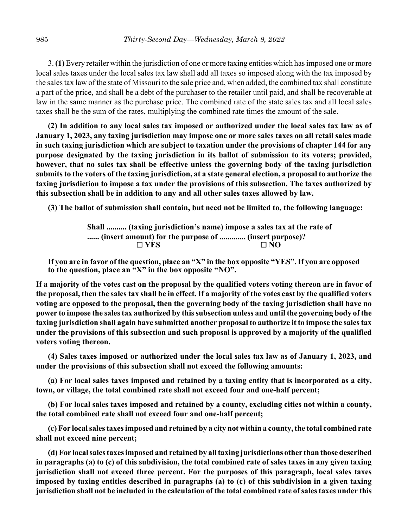3. **(1)** Every retailer within the jurisdiction of one or more taxing entities which has imposed one or more local sales taxes under the local sales tax law shall add all taxes so imposed along with the tax imposed by the sales tax law of the state of Missouri to the sale price and, when added, the combined tax shall constitute a part of the price, and shall be a debt of the purchaser to the retailer until paid, and shall be recoverable at law in the same manner as the purchase price. The combined rate of the state sales tax and all local sales taxes shall be the sum of the rates, multiplying the combined rate times the amount of the sale.

**(2) In addition to any local sales tax imposed or authorized under the local sales tax law as of January 1, 2023, any taxing jurisdiction may impose one or more sales taxes on all retail sales made in such taxing jurisdiction which are subject to taxation under the provisions of chapter 144 for any purpose designated by the taxing jurisdiction in its ballot of submission to its voters; provided, however, that no sales tax shall be effective unless the governing body of the taxing jurisdiction submits to the voters of the taxing jurisdiction, at a state general election, a proposal to authorize the taxing jurisdiction to impose a tax under the provisions of this subsection. The taxes authorized by this subsection shall be in addition to any and all other sales taxes allowed by law.**

**(3) The ballot of submission shall contain, but need not be limited to, the following language:**

**Shall .......... (taxing jurisdiction's name) impose a sales tax at the rate of ...... (insert amount) for the purpose of ............. (insert purpose)?** G **YES** G **NO**

**If you are in favor of the question, place an "X" in the box opposite "YES". If you are opposed to the question, place an "X" in the box opposite "NO".**

**If a majority of the votes cast on the proposal by the qualified voters voting thereon are in favor of the proposal, then the sales tax shall be in effect. If a majority of the votes cast by the qualified voters voting are opposed to the proposal, then the governing body of the taxing jurisdiction shall have no power to impose the sales tax authorized by this subsection unless and until the governing body of the taxing jurisdiction shall again have submitted another proposal to authorize it to impose the sales tax under the provisions of this subsection and such proposal is approved by a majority of the qualified voters voting thereon.**

**(4) Sales taxes imposed or authorized under the local sales tax law as of January 1, 2023, and under the provisions of this subsection shall not exceed the following amounts:**

**(a) For local sales taxes imposed and retained by a taxing entity that is incorporated as a city, town, or village, the total combined rate shall not exceed four and one-half percent;**

**(b) For local sales taxes imposed and retained by a county, excluding cities not within a county, the total combined rate shall not exceed four and one-half percent;**

**(c) For local sales taxes imposed and retained by a city not within a county, the total combined rate shall not exceed nine percent;**

**(d) For local sales taxes imposed and retained by all taxing jurisdictions other than those described in paragraphs (a) to (c) of this subdivision, the total combined rate of sales taxes in any given taxing jurisdiction shall not exceed three percent. For the purposes of this paragraph, local sales taxes imposed by taxing entities described in paragraphs (a) to (c) of this subdivision in a given taxing jurisdiction shall not be included in the calculation of the total combined rate of sales taxes under this**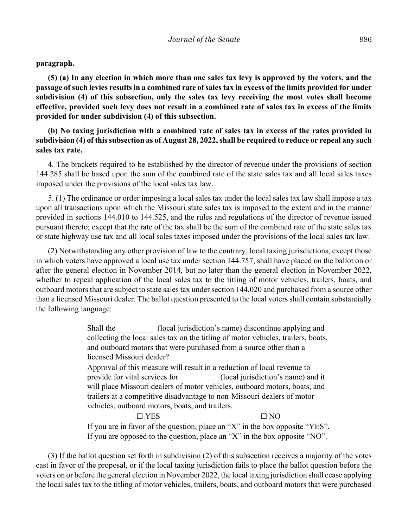**paragraph.**

**(5) (a) In any election in which more than one sales tax levy is approved by the voters, and the passage of such levies results in a combined rate of sales tax in excess of the limits provided for under subdivision (4) of this subsection, only the sales tax levy receiving the most votes shall become effective, provided such levy does not result in a combined rate of sales tax in excess of the limits provided for under subdivision (4) of this subsection.**

**(b) No taxing jurisdiction with a combined rate of sales tax in excess of the rates provided in subdivision (4) of this subsection as of August 28, 2022, shall be required to reduce or repeal any such sales tax rate.**

4. The brackets required to be established by the director of revenue under the provisions of section 144.285 shall be based upon the sum of the combined rate of the state sales tax and all local sales taxes imposed under the provisions of the local sales tax law.

5. (1) The ordinance or order imposing a local sales tax under the local sales tax law shall impose a tax upon all transactions upon which the Missouri state sales tax is imposed to the extent and in the manner provided in sections 144.010 to 144.525, and the rules and regulations of the director of revenue issued pursuant thereto; except that the rate of the tax shall be the sum of the combined rate of the state sales tax or state highway use tax and all local sales taxes imposed under the provisions of the local sales tax law.

(2) Notwithstanding any other provision of law to the contrary, local taxing jurisdictions, except those in which voters have approved a local use tax under section 144.757, shall have placed on the ballot on or after the general election in November 2014, but no later than the general election in November 2022, whether to repeal application of the local sales tax to the titling of motor vehicles, trailers, boats, and outboard motors that are subject to state sales tax under section 144.020 and purchased from a source other than a licensed Missouri dealer. The ballot question presented to the local voters shall contain substantially the following language:

> Shall the (local jurisdiction's name) discontinue applying and collecting the local sales tax on the titling of motor vehicles, trailers, boats, and outboard motors that were purchased from a source other than a licensed Missouri dealer?

Approval of this measure will result in a reduction of local revenue to provide for vital services for  $\qquad \qquad$  (local jurisdiction's name) and it will place Missouri dealers of motor vehicles, outboard motors, boats, and trailers at a competitive disadvantage to non-Missouri dealers of motor vehicles, outboard motors, boats, and trailers.

 $\Box$  YES  $\Box$  NO If you are in favor of the question, place an "X" in the box opposite "YES". If you are opposed to the question, place an "X" in the box opposite "NO".

(3) If the ballot question set forth in subdivision (2) of this subsection receives a majority of the votes cast in favor of the proposal, or if the local taxing jurisdiction fails to place the ballot question before the voters on or before the general election in November 2022, the local taxing jurisdiction shall cease applying the local sales tax to the titling of motor vehicles, trailers, boats, and outboard motors that were purchased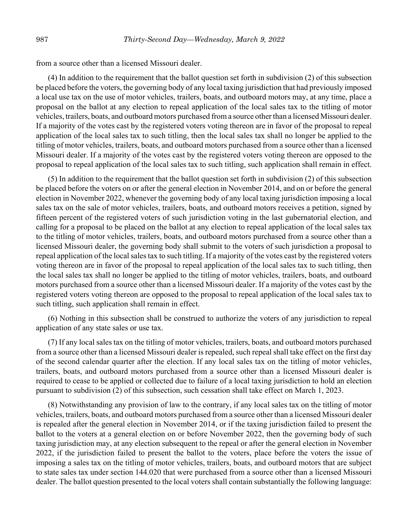from a source other than a licensed Missouri dealer.

(4) In addition to the requirement that the ballot question set forth in subdivision (2) of this subsection be placed before the voters, the governing body of any local taxing jurisdiction that had previously imposed a local use tax on the use of motor vehicles, trailers, boats, and outboard motors may, at any time, place a proposal on the ballot at any election to repeal application of the local sales tax to the titling of motor vehicles, trailers, boats, and outboard motors purchased from a source other than a licensed Missouri dealer. If a majority of the votes cast by the registered voters voting thereon are in favor of the proposal to repeal application of the local sales tax to such titling, then the local sales tax shall no longer be applied to the titling of motor vehicles, trailers, boats, and outboard motors purchased from a source other than a licensed Missouri dealer. If a majority of the votes cast by the registered voters voting thereon are opposed to the proposal to repeal application of the local sales tax to such titling, such application shall remain in effect.

(5) In addition to the requirement that the ballot question set forth in subdivision (2) of this subsection be placed before the voters on or after the general election in November 2014, and on or before the general election in November 2022, whenever the governing body of any local taxing jurisdiction imposing a local sales tax on the sale of motor vehicles, trailers, boats, and outboard motors receives a petition, signed by fifteen percent of the registered voters of such jurisdiction voting in the last gubernatorial election, and calling for a proposal to be placed on the ballot at any election to repeal application of the local sales tax to the titling of motor vehicles, trailers, boats, and outboard motors purchased from a source other than a licensed Missouri dealer, the governing body shall submit to the voters of such jurisdiction a proposal to repeal application of the local sales tax to such titling. If a majority of the votes cast by the registered voters voting thereon are in favor of the proposal to repeal application of the local sales tax to such titling, then the local sales tax shall no longer be applied to the titling of motor vehicles, trailers, boats, and outboard motors purchased from a source other than a licensed Missouri dealer. If a majority of the votes cast by the registered voters voting thereon are opposed to the proposal to repeal application of the local sales tax to such titling, such application shall remain in effect.

(6) Nothing in this subsection shall be construed to authorize the voters of any jurisdiction to repeal application of any state sales or use tax.

(7) If any local sales tax on the titling of motor vehicles, trailers, boats, and outboard motors purchased from a source other than a licensed Missouri dealer is repealed, such repeal shall take effect on the first day of the second calendar quarter after the election. If any local sales tax on the titling of motor vehicles, trailers, boats, and outboard motors purchased from a source other than a licensed Missouri dealer is required to cease to be applied or collected due to failure of a local taxing jurisdiction to hold an election pursuant to subdivision (2) of this subsection, such cessation shall take effect on March 1, 2023.

(8) Notwithstanding any provision of law to the contrary, if any local sales tax on the titling of motor vehicles, trailers, boats, and outboard motors purchased from a source other than a licensed Missouri dealer is repealed after the general election in November 2014, or if the taxing jurisdiction failed to present the ballot to the voters at a general election on or before November 2022, then the governing body of such taxing jurisdiction may, at any election subsequent to the repeal or after the general election in November 2022, if the jurisdiction failed to present the ballot to the voters, place before the voters the issue of imposing a sales tax on the titling of motor vehicles, trailers, boats, and outboard motors that are subject to state sales tax under section 144.020 that were purchased from a source other than a licensed Missouri dealer. The ballot question presented to the local voters shall contain substantially the following language: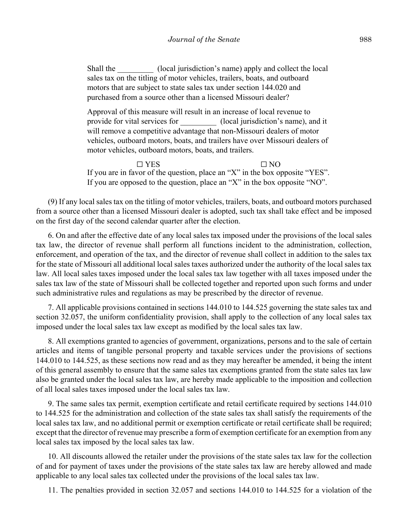Shall the  $(local)$  jurisdiction's name) apply and collect the local sales tax on the titling of motor vehicles, trailers, boats, and outboard motors that are subject to state sales tax under section 144.020 and purchased from a source other than a licensed Missouri dealer?

Approval of this measure will result in an increase of local revenue to provide for vital services for  $(local$  jurisdiction's name), and it will remove a competitive advantage that non-Missouri dealers of motor vehicles, outboard motors, boats, and trailers have over Missouri dealers of motor vehicles, outboard motors, boats, and trailers.

 $\Box$  YES  $\Box$  NO If you are in favor of the question, place an "X" in the box opposite "YES". If you are opposed to the question, place an "X" in the box opposite "NO".

(9) If any local sales tax on the titling of motor vehicles, trailers, boats, and outboard motors purchased from a source other than a licensed Missouri dealer is adopted, such tax shall take effect and be imposed on the first day of the second calendar quarter after the election.

6. On and after the effective date of any local sales tax imposed under the provisions of the local sales tax law, the director of revenue shall perform all functions incident to the administration, collection, enforcement, and operation of the tax, and the director of revenue shall collect in addition to the sales tax for the state of Missouri all additional local sales taxes authorized under the authority of the local sales tax law. All local sales taxes imposed under the local sales tax law together with all taxes imposed under the sales tax law of the state of Missouri shall be collected together and reported upon such forms and under such administrative rules and regulations as may be prescribed by the director of revenue.

7. All applicable provisions contained in sections 144.010 to 144.525 governing the state sales tax and section 32.057, the uniform confidentiality provision, shall apply to the collection of any local sales tax imposed under the local sales tax law except as modified by the local sales tax law.

8. All exemptions granted to agencies of government, organizations, persons and to the sale of certain articles and items of tangible personal property and taxable services under the provisions of sections 144.010 to 144.525, as these sections now read and as they may hereafter be amended, it being the intent of this general assembly to ensure that the same sales tax exemptions granted from the state sales tax law also be granted under the local sales tax law, are hereby made applicable to the imposition and collection of all local sales taxes imposed under the local sales tax law.

9. The same sales tax permit, exemption certificate and retail certificate required by sections 144.010 to 144.525 for the administration and collection of the state sales tax shall satisfy the requirements of the local sales tax law, and no additional permit or exemption certificate or retail certificate shall be required; except that the director of revenue may prescribe a form of exemption certificate for an exemption from any local sales tax imposed by the local sales tax law.

10. All discounts allowed the retailer under the provisions of the state sales tax law for the collection of and for payment of taxes under the provisions of the state sales tax law are hereby allowed and made applicable to any local sales tax collected under the provisions of the local sales tax law.

11. The penalties provided in section 32.057 and sections 144.010 to 144.525 for a violation of the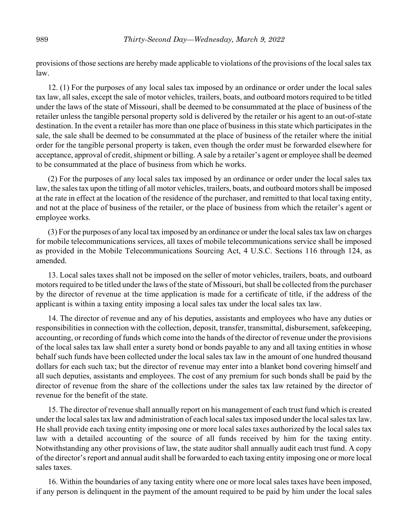provisions of those sections are hereby made applicable to violations of the provisions of the local sales tax law.

12. (1) For the purposes of any local sales tax imposed by an ordinance or order under the local sales tax law, all sales, except the sale of motor vehicles, trailers, boats, and outboard motors required to be titled under the laws of the state of Missouri, shall be deemed to be consummated at the place of business of the retailer unless the tangible personal property sold is delivered by the retailer or his agent to an out-of-state destination. In the event a retailer has more than one place of business in this state which participates in the sale, the sale shall be deemed to be consummated at the place of business of the retailer where the initial order for the tangible personal property is taken, even though the order must be forwarded elsewhere for acceptance, approval of credit, shipment or billing. A sale by a retailer's agent or employee shall be deemed to be consummated at the place of business from which he works.

(2) For the purposes of any local sales tax imposed by an ordinance or order under the local sales tax law, the sales tax upon the titling of all motor vehicles, trailers, boats, and outboard motors shall be imposed at the rate in effect at the location of the residence of the purchaser, and remitted to that local taxing entity, and not at the place of business of the retailer, or the place of business from which the retailer's agent or employee works.

(3) For the purposes of any local tax imposed by an ordinance or under the local sales tax law on charges for mobile telecommunications services, all taxes of mobile telecommunications service shall be imposed as provided in the Mobile Telecommunications Sourcing Act, 4 U.S.C. Sections 116 through 124, as amended.

13. Local sales taxes shall not be imposed on the seller of motor vehicles, trailers, boats, and outboard motors required to be titled under the laws of the state of Missouri, but shall be collected from the purchaser by the director of revenue at the time application is made for a certificate of title, if the address of the applicant is within a taxing entity imposing a local sales tax under the local sales tax law.

14. The director of revenue and any of his deputies, assistants and employees who have any duties or responsibilities in connection with the collection, deposit, transfer, transmittal, disbursement, safekeeping, accounting, or recording of funds which come into the hands of the director of revenue under the provisions of the local sales tax law shall enter a surety bond or bonds payable to any and all taxing entities in whose behalf such funds have been collected under the local sales tax law in the amount of one hundred thousand dollars for each such tax; but the director of revenue may enter into a blanket bond covering himself and all such deputies, assistants and employees. The cost of any premium for such bonds shall be paid by the director of revenue from the share of the collections under the sales tax law retained by the director of revenue for the benefit of the state.

15. The director of revenue shall annually report on his management of each trust fund which is created under the local sales tax law and administration of each local sales tax imposed under the local sales tax law. He shall provide each taxing entity imposing one or more local sales taxes authorized by the local sales tax law with a detailed accounting of the source of all funds received by him for the taxing entity. Notwithstanding any other provisions of law, the state auditor shall annually audit each trust fund. A copy of the director's report and annual audit shall be forwarded to each taxing entity imposing one or more local sales taxes.

16. Within the boundaries of any taxing entity where one or more local sales taxes have been imposed, if any person is delinquent in the payment of the amount required to be paid by him under the local sales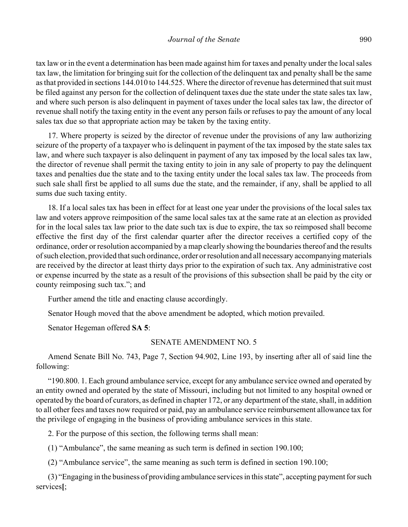tax law or in the event a determination has been made against him for taxes and penalty under the local sales tax law, the limitation for bringing suit for the collection of the delinquent tax and penalty shall be the same as that provided in sections 144.010 to 144.525. Where the director of revenue has determined that suit must be filed against any person for the collection of delinquent taxes due the state under the state sales tax law, and where such person is also delinquent in payment of taxes under the local sales tax law, the director of revenue shall notify the taxing entity in the event any person fails or refuses to pay the amount of any local sales tax due so that appropriate action may be taken by the taxing entity.

17. Where property is seized by the director of revenue under the provisions of any law authorizing seizure of the property of a taxpayer who is delinquent in payment of the tax imposed by the state sales tax law, and where such taxpayer is also delinquent in payment of any tax imposed by the local sales tax law, the director of revenue shall permit the taxing entity to join in any sale of property to pay the delinquent taxes and penalties due the state and to the taxing entity under the local sales tax law. The proceeds from such sale shall first be applied to all sums due the state, and the remainder, if any, shall be applied to all sums due such taxing entity.

18. If a local sales tax has been in effect for at least one year under the provisions of the local sales tax law and voters approve reimposition of the same local sales tax at the same rate at an election as provided for in the local sales tax law prior to the date such tax is due to expire, the tax so reimposed shall become effective the first day of the first calendar quarter after the director receives a certified copy of the ordinance, order or resolution accompanied by a map clearly showing the boundaries thereof and the results of such election, provided that such ordinance, order or resolution and all necessary accompanying materials are received by the director at least thirty days prior to the expiration of such tax. Any administrative cost or expense incurred by the state as a result of the provisions of this subsection shall be paid by the city or county reimposing such tax."; and

Further amend the title and enacting clause accordingly.

Senator Hough moved that the above amendment be adopted, which motion prevailed.

Senator Hegeman offered **SA 5**:

# SENATE AMENDMENT NO. 5

Amend Senate Bill No. 743, Page 7, Section 94.902, Line 193, by inserting after all of said line the following:

"190.800. 1. Each ground ambulance service, except for any ambulance service owned and operated by an entity owned and operated by the state of Missouri, including but not limited to any hospital owned or operated by the board of curators, as defined in chapter 172, or any department of the state, shall, in addition to all other fees and taxes now required or paid, pay an ambulance service reimbursement allowance tax for the privilege of engaging in the business of providing ambulance services in this state.

2. For the purpose of this section, the following terms shall mean:

(1) "Ambulance", the same meaning as such term is defined in section 190.100;

(2) "Ambulance service", the same meaning as such term is defined in section 190.100;

(3) "Engaging in the business of providing ambulance services in this state", accepting payment for such services**[**;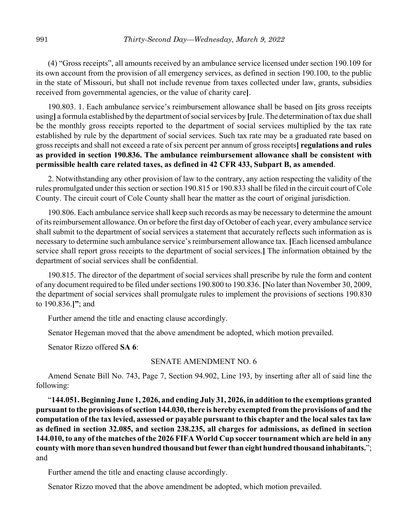(4) "Gross receipts", all amounts received by an ambulance service licensed under section 190.109 for its own account from the provision of all emergency services, as defined in section 190.100, to the public in the state of Missouri, but shall not include revenue from taxes collected under law, grants, subsidies received from governmental agencies, or the value of charity care**]**.

190.803. 1. Each ambulance service's reimbursement allowance shall be based on **[**its gross receipts using**]** a formula established by the department of social services by **[**rule. The determination of tax due shall be the monthly gross receipts reported to the department of social services multiplied by the tax rate established by rule by the department of social services. Such tax rate may be a graduated rate based on gross receipts and shall not exceed a rate of six percent per annum of gross receipts**] regulations and rules as provided in section 190.836. The ambulance reimbursement allowance shall be consistent with permissible health care related taxes, as defined in 42 CFR 433, Subpart B, as amended**.

2. Notwithstanding any other provision of law to the contrary, any action respecting the validity of the rules promulgated under this section or section 190.815 or 190.833 shall be filed in the circuit court of Cole County. The circuit court of Cole County shall hear the matter as the court of original jurisdiction.

190.806. Each ambulance service shall keep such records as may be necessary to determine the amount of its reimbursement allowance. On or before the first day of October of each year, every ambulance service shall submit to the department of social services a statement that accurately reflects such information as is necessary to determine such ambulance service's reimbursement allowance tax. **[**Each licensed ambulance service shall report gross receipts to the department of social services.**]** The information obtained by the department of social services shall be confidential.

190.815. The director of the department of social services shall prescribe by rule the form and content of any document required to be filed under sections 190.800 to 190.836. **[**No later than November 30, 2009, the department of social services shall promulgate rules to implement the provisions of sections 190.830 to 190.836.**]"**; and

Further amend the title and enacting clause accordingly.

Senator Hegeman moved that the above amendment be adopted, which motion prevailed.

Senator Rizzo offered **SA 6**:

### SENATE AMENDMENT NO. 6

Amend Senate Bill No. 743, Page 7, Section 94.902, Line 193, by inserting after all of said line the following:

"**144.051. Beginning June 1, 2026, and ending July 31, 2026, in addition to the exemptions granted pursuant to the provisions of section 144.030, there is hereby exempted from the provisions of and the computation of the tax levied, assessed or payable pursuant to this chapter and the local sales tax law as defined in section 32.085, and section 238.235, all charges for admissions, as defined in section 144.010, to any of the matches of the 2026 FIFA World Cup soccer tournament which are held in any county with more than seven hundred thousand but fewer than eight hundred thousand inhabitants.**"; and

Further amend the title and enacting clause accordingly.

Senator Rizzo moved that the above amendment be adopted, which motion prevailed.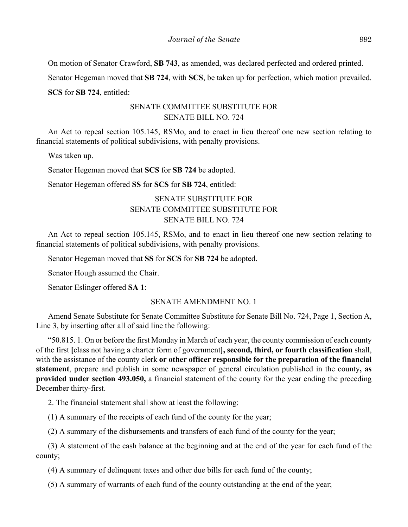On motion of Senator Crawford, **SB 743**, as amended, was declared perfected and ordered printed.

Senator Hegeman moved that **SB 724**, with **SCS**, be taken up for perfection, which motion prevailed.

**SCS** for **SB 724**, entitled:

# SENATE COMMITTEE SUBSTITUTE FOR SENATE BILL NO. 724

An Act to repeal section 105.145, RSMo, and to enact in lieu thereof one new section relating to financial statements of political subdivisions, with penalty provisions.

Was taken up.

Senator Hegeman moved that **SCS** for **SB 724** be adopted.

Senator Hegeman offered **SS** for **SCS** for **SB 724**, entitled:

# SENATE SUBSTITUTE FOR SENATE COMMITTEE SUBSTITUTE FOR SENATE BILL NO. 724

An Act to repeal section 105.145, RSMo, and to enact in lieu thereof one new section relating to financial statements of political subdivisions, with penalty provisions.

Senator Hegeman moved that **SS** for **SCS** for **SB 724** be adopted.

Senator Hough assumed the Chair.

Senator Eslinger offered **SA 1**:

### SENATE AMENDMENT NO. 1

Amend Senate Substitute for Senate Committee Substitute for Senate Bill No. 724, Page 1, Section A, Line 3, by inserting after all of said line the following:

"50.815. 1. On or before the first Monday in March of each year, the county commission of each county of the first **[**class not having a charter form of government**], second, third, or fourth classification** shall, with the assistance of the county clerk **or other officer responsible for the preparation of the financial statement**, prepare and publish in some newspaper of general circulation published in the county**, as provided under section 493.050,** a financial statement of the county for the year ending the preceding December thirty-first.

2. The financial statement shall show at least the following:

(1) A summary of the receipts of each fund of the county for the year;

(2) A summary of the disbursements and transfers of each fund of the county for the year;

(3) A statement of the cash balance at the beginning and at the end of the year for each fund of the county;

(4) A summary of delinquent taxes and other due bills for each fund of the county;

(5) A summary of warrants of each fund of the county outstanding at the end of the year;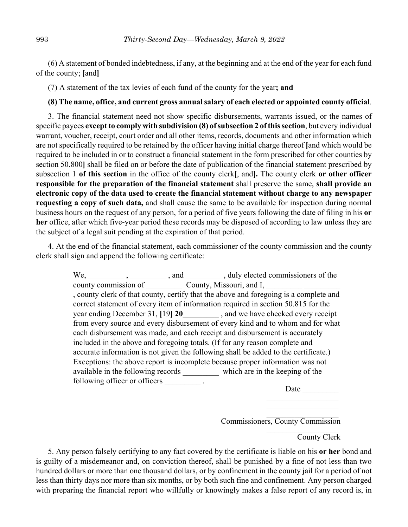(6) A statement of bonded indebtedness, if any, at the beginning and at the end of the year for each fund of the county; **[**and**]**

(7) A statement of the tax levies of each fund of the county for the year**; and**

### **(8) The name, office, and current gross annual salary of each elected or appointed county official**.

3. The financial statement need not show specific disbursements, warrants issued, or the names of specific payees **except to comply with subdivision (8) of subsection 2 of this section**, but every individual warrant, voucher, receipt, court order and all other items, records, documents and other information which are not specifically required to be retained by the officer having initial charge thereof **[**and which would be required to be included in or to construct a financial statement in the form prescribed for other counties by section 50.800**]** shall be filed on or before the date of publication of the financial statement prescribed by subsection 1 **of this section** in the office of the county clerk**[**, and**].** The county clerk **or other officer responsible for the preparation of the financial statement** shall preserve the same, **shall provide an electronic copy of the data used to create the financial statement without charge to any newspaper requesting a copy of such data,** and shall cause the same to be available for inspection during normal business hours on the request of any person, for a period of five years following the date of filing in his **or her** office, after which five-year period these records may be disposed of according to law unless they are the subject of a legal suit pending at the expiration of that period.

4. At the end of the financial statement, each commissioner of the county commission and the county clerk shall sign and append the following certificate:

|                               |                                               | and , duly elected commissioners of the                                               |
|-------------------------------|-----------------------------------------------|---------------------------------------------------------------------------------------|
|                               | county commission of County, Missouri, and I, |                                                                                       |
|                               |                                               | , county clerk of that county, certify that the above and foregoing is a complete and |
|                               |                                               | correct statement of every item of information required in section 50.815 for the     |
|                               |                                               | year ending December 31, [19] 20 , and we have checked every receipt                  |
|                               |                                               | from every source and every disbursement of every kind and to whom and for what       |
|                               |                                               | each disbursement was made, and each receipt and disbursement is accurately           |
|                               |                                               | included in the above and foregoing totals. (If for any reason complete and           |
|                               |                                               | accurate information is not given the following shall be added to the certificate.)   |
|                               |                                               | Exceptions: the above report is incomplete because proper information was not         |
|                               |                                               | available in the following records which are in the keeping of the                    |
| following officer or officers |                                               |                                                                                       |

Date

 $\overline{\phantom{a}}$  ,  $\overline{\phantom{a}}$  ,  $\overline{\phantom{a}}$  ,  $\overline{\phantom{a}}$  ,  $\overline{\phantom{a}}$  ,  $\overline{\phantom{a}}$  ,  $\overline{\phantom{a}}$  ,  $\overline{\phantom{a}}$  ,  $\overline{\phantom{a}}$  ,  $\overline{\phantom{a}}$  ,  $\overline{\phantom{a}}$  ,  $\overline{\phantom{a}}$  ,  $\overline{\phantom{a}}$  ,  $\overline{\phantom{a}}$  ,  $\overline{\phantom{a}}$  ,  $\overline{\phantom{a}}$ \_\_\_\_\_\_\_\_\_\_\_\_\_\_\_\_\_\_

\_\_\_\_\_\_\_\_\_\_\_\_\_\_\_\_\_\_ Commissioners, County Commission

> $\mathcal{L}=\mathcal{L}=\mathcal{L}=\mathcal{L}=\mathcal{L}=\mathcal{L}=\mathcal{L}=\mathcal{L}=\mathcal{L}=\mathcal{L}=\mathcal{L}=\mathcal{L}=\mathcal{L}=\mathcal{L}=\mathcal{L}=\mathcal{L}=\mathcal{L}=\mathcal{L}=\mathcal{L}=\mathcal{L}=\mathcal{L}=\mathcal{L}=\mathcal{L}=\mathcal{L}=\mathcal{L}=\mathcal{L}=\mathcal{L}=\mathcal{L}=\mathcal{L}=\mathcal{L}=\mathcal{L}=\mathcal{L}=\mathcal{L}=\mathcal{L}=\mathcal{L}=\mathcal{L}=\mathcal{$ County Clerk

5. Any person falsely certifying to any fact covered by the certificate is liable on his **or her** bond and is guilty of a misdemeanor and, on conviction thereof, shall be punished by a fine of not less than two hundred dollars or more than one thousand dollars, or by confinement in the county jail for a period of not less than thirty days nor more than six months, or by both such fine and confinement. Any person charged with preparing the financial report who willfully or knowingly makes a false report of any record is, in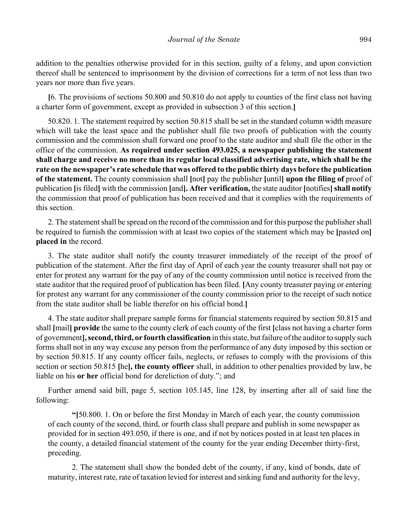addition to the penalties otherwise provided for in this section, guilty of a felony, and upon conviction thereof shall be sentenced to imprisonment by the division of corrections for a term of not less than two years nor more than five years.

**[**6. The provisions of sections 50.800 and 50.810 do not apply to counties of the first class not having a charter form of government, except as provided in subsection 3 of this section.**]**

50.820. 1. The statement required by section 50.815 shall be set in the standard column width measure which will take the least space and the publisher shall file two proofs of publication with the county commission and the commission shall forward one proof to the state auditor and shall file the other in the office of the commission. **As required under section 493.025, a newspaper publishing the statement shall charge and receive no more than its regular local classified advertising rate, which shall be the rate on the newspaper's rate schedule that was offered to the public thirty days before the publication of the statement.** The county commission shall **[**not**]** pay the publisher **[**until**] upon the filing of** proof of publication **[**is filed**]** with the commission **[**and**]. After verification,** the state auditor **[**notifies**]shall notify** the commission that proof of publication has been received and that it complies with the requirements of this section.

2. The statement shall be spread on the record of the commission and for this purpose the publisher shall be required to furnish the commission with at least two copies of the statement which may be **[**pasted on**] placed in** the record.

3. The state auditor shall notify the county treasurer immediately of the receipt of the proof of publication of the statement. After the first day of April of each year the county treasurer shall not pay or enter for protest any warrant for the pay of any of the county commission until notice is received from the state auditor that the required proof of publication has been filed. **[**Any county treasurer paying or entering for protest any warrant for any commissioner of the county commission prior to the receipt of such notice from the state auditor shall be liable therefor on his official bond.**]**

4. The state auditor shall prepare sample forms for financial statements required by section 50.815 and shall **[**mail**] provide** the same to the county clerk of each county of the first **[**class not having a charter form of government**], second, third, or fourth classification** in this state, but failure of the auditor to supply such forms shall not in any way excuse any person from the performance of any duty imposed by this section or by section 50.815. If any county officer fails, neglects, or refuses to comply with the provisions of this section or section 50.815 **[**he**], the county officer** shall, in addition to other penalties provided by law, be liable on his **or her** official bond for dereliction of duty."; and

Further amend said bill, page 5, section 105.145, line 128, by inserting after all of said line the following:

**"[**50.800. 1. On or before the first Monday in March of each year, the county commission of each county of the second, third, or fourth class shall prepare and publish in some newspaper as provided for in section 493.050, if there is one, and if not by notices posted in at least ten places in the county, a detailed financial statement of the county for the year ending December thirty-first, preceding.

2. The statement shall show the bonded debt of the county, if any, kind of bonds, date of maturity, interest rate, rate of taxation levied for interest and sinking fund and authority for the levy,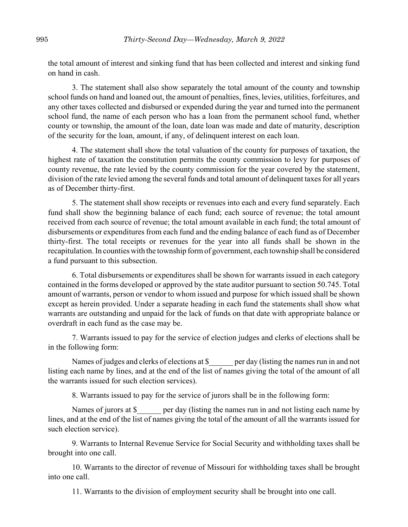the total amount of interest and sinking fund that has been collected and interest and sinking fund on hand in cash.

3. The statement shall also show separately the total amount of the county and township school funds on hand and loaned out, the amount of penalties, fines, levies, utilities, forfeitures, and any other taxes collected and disbursed or expended during the year and turned into the permanent school fund, the name of each person who has a loan from the permanent school fund, whether county or township, the amount of the loan, date loan was made and date of maturity, description of the security for the loan, amount, if any, of delinquent interest on each loan.

4. The statement shall show the total valuation of the county for purposes of taxation, the highest rate of taxation the constitution permits the county commission to levy for purposes of county revenue, the rate levied by the county commission for the year covered by the statement, division of the rate levied among the several funds and total amount of delinquent taxes for all years as of December thirty-first.

5. The statement shall show receipts or revenues into each and every fund separately. Each fund shall show the beginning balance of each fund; each source of revenue; the total amount received from each source of revenue; the total amount available in each fund; the total amount of disbursements or expenditures from each fund and the ending balance of each fund as of December thirty-first. The total receipts or revenues for the year into all funds shall be shown in the recapitulation. In counties with the township form of government, each township shall be considered a fund pursuant to this subsection.

6. Total disbursements or expenditures shall be shown for warrants issued in each category contained in the forms developed or approved by the state auditor pursuant to section 50.745. Total amount of warrants, person or vendor to whom issued and purpose for which issued shall be shown except as herein provided. Under a separate heading in each fund the statements shall show what warrants are outstanding and unpaid for the lack of funds on that date with appropriate balance or overdraft in each fund as the case may be.

7. Warrants issued to pay for the service of election judges and clerks of elections shall be in the following form:

Names of judges and clerks of elections at \$ \_\_\_\_\_ per day (listing the names run in and not listing each name by lines, and at the end of the list of names giving the total of the amount of all the warrants issued for such election services).

8. Warrants issued to pay for the service of jurors shall be in the following form:

Names of jurors at \$ per day (listing the names run in and not listing each name by lines, and at the end of the list of names giving the total of the amount of all the warrants issued for such election service).

9. Warrants to Internal Revenue Service for Social Security and withholding taxes shall be brought into one call.

10. Warrants to the director of revenue of Missouri for withholding taxes shall be brought into one call.

11. Warrants to the division of employment security shall be brought into one call.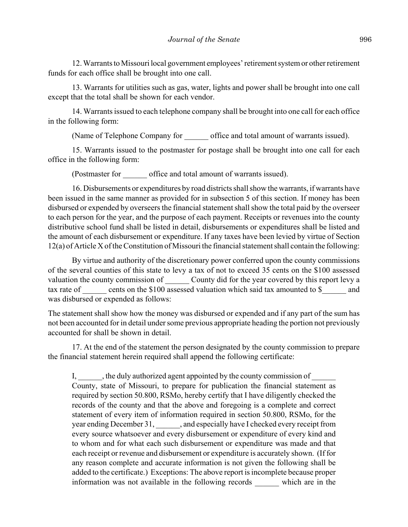12. Warrants to Missouri local government employees' retirement system or other retirement funds for each office shall be brought into one call.

13. Warrants for utilities such as gas, water, lights and power shall be brought into one call except that the total shall be shown for each vendor.

14. Warrants issued to each telephone company shall be brought into one call for each office in the following form:

(Name of Telephone Company for office and total amount of warrants issued).

15. Warrants issued to the postmaster for postage shall be brought into one call for each office in the following form:

(Postmaster for \_\_\_\_\_\_ office and total amount of warrants issued).

16. Disbursements or expenditures by road districts shall show the warrants, if warrants have been issued in the same manner as provided for in subsection 5 of this section. If money has been disbursed or expended by overseers the financial statement shall show the total paid by the overseer to each person for the year, and the purpose of each payment. Receipts or revenues into the county distributive school fund shall be listed in detail, disbursements or expenditures shall be listed and the amount of each disbursement or expenditure. If any taxes have been levied by virtue of Section 12(a) of Article X of the Constitution of Missouri the financial statement shall contain the following:

By virtue and authority of the discretionary power conferred upon the county commissions of the several counties of this state to levy a tax of not to exceed 35 cents on the \$100 assessed valuation the county commission of County did for the year covered by this report levy a tax rate of cents on the \$100 assessed valuation which said tax amounted to \$ and was disbursed or expended as follows:

The statement shall show how the money was disbursed or expended and if any part of the sum has not been accounted for in detail under some previous appropriate heading the portion not previously accounted for shall be shown in detail.

17. At the end of the statement the person designated by the county commission to prepare the financial statement herein required shall append the following certificate:

I, the duly authorized agent appointed by the county commission of County, state of Missouri, to prepare for publication the financial statement as required by section 50.800, RSMo, hereby certify that I have diligently checked the records of the county and that the above and foregoing is a complete and correct statement of every item of information required in section 50.800, RSMo, for the year ending December 31,  $\qquad \qquad$ , and especially have I checked every receipt from every source whatsoever and every disbursement or expenditure of every kind and to whom and for what each such disbursement or expenditure was made and that each receipt or revenue and disbursement or expenditure is accurately shown. (If for any reason complete and accurate information is not given the following shall be added to the certificate.) Exceptions: The above report is incomplete because proper information was not available in the following records \_\_\_\_\_\_ which are in the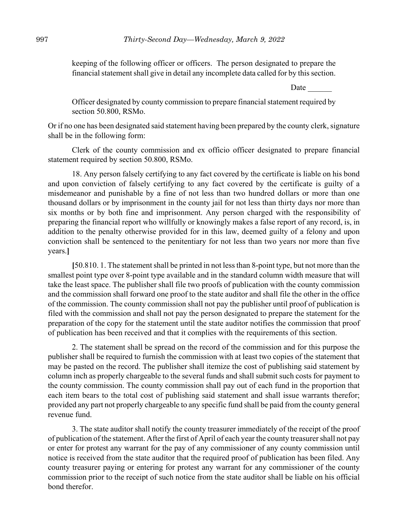keeping of the following officer or officers. The person designated to prepare the financial statement shall give in detail any incomplete data called for by this section.

Date

Officer designated by county commission to prepare financial statement required by section 50.800, RSMo.

Or if no one has been designated said statement having been prepared by the county clerk, signature shall be in the following form:

Clerk of the county commission and ex officio officer designated to prepare financial statement required by section 50.800, RSMo.

18. Any person falsely certifying to any fact covered by the certificate is liable on his bond and upon conviction of falsely certifying to any fact covered by the certificate is guilty of a misdemeanor and punishable by a fine of not less than two hundred dollars or more than one thousand dollars or by imprisonment in the county jail for not less than thirty days nor more than six months or by both fine and imprisonment. Any person charged with the responsibility of preparing the financial report who willfully or knowingly makes a false report of any record, is, in addition to the penalty otherwise provided for in this law, deemed guilty of a felony and upon conviction shall be sentenced to the penitentiary for not less than two years nor more than five years.**]**

**[**50.810. 1. The statement shall be printed in not less than 8-point type, but not more than the smallest point type over 8-point type available and in the standard column width measure that will take the least space. The publisher shall file two proofs of publication with the county commission and the commission shall forward one proof to the state auditor and shall file the other in the office of the commission. The county commission shall not pay the publisher until proof of publication is filed with the commission and shall not pay the person designated to prepare the statement for the preparation of the copy for the statement until the state auditor notifies the commission that proof of publication has been received and that it complies with the requirements of this section.

2. The statement shall be spread on the record of the commission and for this purpose the publisher shall be required to furnish the commission with at least two copies of the statement that may be pasted on the record. The publisher shall itemize the cost of publishing said statement by column inch as properly chargeable to the several funds and shall submit such costs for payment to the county commission. The county commission shall pay out of each fund in the proportion that each item bears to the total cost of publishing said statement and shall issue warrants therefor; provided any part not properly chargeable to any specific fund shall be paid from the county general revenue fund.

3. The state auditor shall notify the county treasurer immediately of the receipt of the proof of publication of the statement. After the first of April of each year the county treasurer shall not pay or enter for protest any warrant for the pay of any commissioner of any county commission until notice is received from the state auditor that the required proof of publication has been filed. Any county treasurer paying or entering for protest any warrant for any commissioner of the county commission prior to the receipt of such notice from the state auditor shall be liable on his official bond therefor.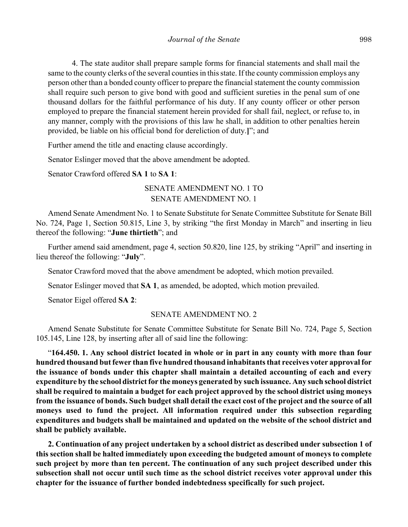4. The state auditor shall prepare sample forms for financial statements and shall mail the same to the county clerks of the several counties in this state. If the county commission employs any person other than a bonded county officer to prepare the financial statement the county commission shall require such person to give bond with good and sufficient sureties in the penal sum of one thousand dollars for the faithful performance of his duty. If any county officer or other person employed to prepare the financial statement herein provided for shall fail, neglect, or refuse to, in any manner, comply with the provisions of this law he shall, in addition to other penalties herein provided, be liable on his official bond for dereliction of duty.**]**"; and

Further amend the title and enacting clause accordingly.

Senator Eslinger moved that the above amendment be adopted.

Senator Crawford offered **SA 1** to **SA 1**:

# SENATE AMENDMENT NO. 1 TO SENATE AMENDMENT NO. 1

Amend Senate Amendment No. 1 to Senate Substitute for Senate Committee Substitute for Senate Bill No. 724, Page 1, Section 50.815, Line 3, by striking "the first Monday in March" and inserting in lieu thereof the following: "**June thirtieth**"; and

Further amend said amendment, page 4, section 50.820, line 125, by striking "April" and inserting in lieu thereof the following: "**July**".

Senator Crawford moved that the above amendment be adopted, which motion prevailed.

Senator Eslinger moved that **SA 1**, as amended, be adopted, which motion prevailed.

Senator Eigel offered **SA 2**:

### SENATE AMENDMENT NO. 2

Amend Senate Substitute for Senate Committee Substitute for Senate Bill No. 724, Page 5, Section 105.145, Line 128, by inserting after all of said line the following:

"**164.450. 1. Any school district located in whole or in part in any county with more than four hundred thousand but fewer than five hundred thousand inhabitants that receives voter approval for the issuance of bonds under this chapter shall maintain a detailed accounting of each and every expenditure by the school district for the moneys generated by such issuance. Any such school district shall be required to maintain a budget for each project approved by the school district using moneys from the issuance of bonds. Such budget shall detail the exact cost of the project and the source of all moneys used to fund the project. All information required under this subsection regarding expenditures and budgets shall be maintained and updated on the website of the school district and shall be publicly available.**

**2. Continuation of any project undertaken by a school district as described under subsection 1 of this section shall be halted immediately upon exceeding the budgeted amount of moneys to complete such project by more than ten percent. The continuation of any such project described under this subsection shall not occur until such time as the school district receives voter approval under this chapter for the issuance of further bonded indebtedness specifically for such project.**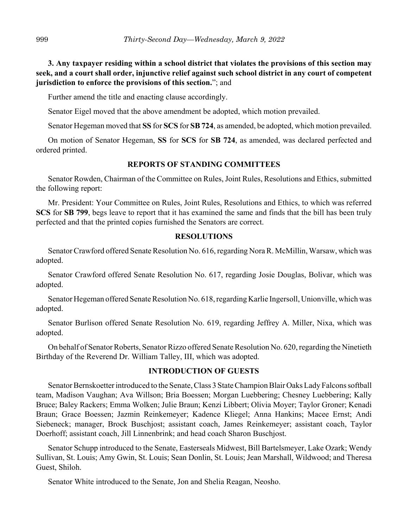**3. Any taxpayer residing within a school district that violates the provisions of this section may seek, and a court shall order, injunctive relief against such school district in any court of competent jurisdiction to enforce the provisions of this section.**"; and

Further amend the title and enacting clause accordingly.

Senator Eigel moved that the above amendment be adopted, which motion prevailed.

Senator Hegeman moved that **SS** for **SCS** for **SB 724**, as amended, be adopted, which motion prevailed.

On motion of Senator Hegeman, **SS** for **SCS** for **SB 724**, as amended, was declared perfected and ordered printed.

# **REPORTS OF STANDING COMMITTEES**

Senator Rowden, Chairman of the Committee on Rules, Joint Rules, Resolutions and Ethics, submitted the following report:

Mr. President: Your Committee on Rules, Joint Rules, Resolutions and Ethics, to which was referred **SCS** for **SB 799**, begs leave to report that it has examined the same and finds that the bill has been truly perfected and that the printed copies furnished the Senators are correct.

### **RESOLUTIONS**

Senator Crawford offered Senate Resolution No. 616, regarding Nora R. McMillin, Warsaw, which was adopted.

Senator Crawford offered Senate Resolution No. 617, regarding Josie Douglas, Bolivar, which was adopted.

Senator Hegeman offered Senate Resolution No. 618, regarding Karlie Ingersoll, Unionville, which was adopted.

Senator Burlison offered Senate Resolution No. 619, regarding Jeffrey A. Miller, Nixa, which was adopted.

On behalf of Senator Roberts, Senator Rizzo offered Senate Resolution No. 620, regarding the Ninetieth Birthday of the Reverend Dr. William Talley, III, which was adopted.

### **INTRODUCTION OF GUESTS**

Senator Bernskoetter introduced to the Senate, Class 3 State Champion Blair Oaks Lady Falcons softball team, Madison Vaughan; Ava Willson; Bria Boessen; Morgan Luebbering; Chesney Luebbering; Kally Bruce; Baley Rackers; Emma Wolken; Julie Braun; Kenzi Libbert; Olivia Moyer; Taylor Groner; Kenadi Braun; Grace Boessen; Jazmin Reinkemeyer; Kadence Kliegel; Anna Hankins; Macee Ernst; Andi Siebeneck; manager, Brock Buschjost; assistant coach, James Reinkemeyer; assistant coach, Taylor Doerhoff; assistant coach, Jill Linnenbrink; and head coach Sharon Buschjost.

Senator Schupp introduced to the Senate, Easterseals Midwest, Bill Bartelsmeyer, Lake Ozark; Wendy Sullivan, St. Louis; Amy Gwin, St. Louis; Sean Donlin, St. Louis; Jean Marshall, Wildwood; and Theresa Guest, Shiloh.

Senator White introduced to the Senate, Jon and Shelia Reagan, Neosho.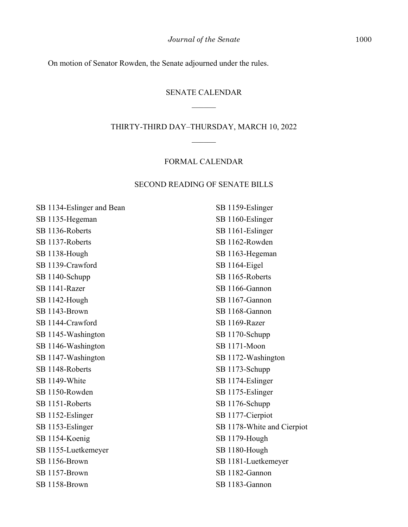On motion of Senator Rowden, the Senate adjourned under the rules.

### SENATE CALENDAR

#### THIRTY-THIRD DAY–THURSDAY, MARCH 10, 2022

# FORMAL CALENDAR

### SECOND READING OF SENATE BILLS

SB 1134-Eslinger and Bean SB 1135-Hegeman SB 1136-Roberts SB 1137-Roberts SB 1138-Hough SB 1139-Crawford SB 1140-Schupp SB 1141-Razer SB 1142-Hough SB 1143-Brown SB 1144-Crawford SB 1145-Washington SB 1146-Washington SB 1147-Washington SB 1148-Roberts SB 1149-White SB 1150-Rowden SB 1151-Roberts SB 1152-Eslinger SB 1153-Eslinger SB 1154-Koenig SB 1155-Luetkemeyer SB 1156-Brown SB 1157-Brown SB 1158-Brown

SB 1159-Eslinger SB 1160-Eslinger SB 1161-Eslinger SB 1162-Rowden SB 1163-Hegeman SB 1164-Eigel SB 1165-Roberts SB 1166-Gannon SB 1167-Gannon SB 1168-Gannon SB 1169-Razer SB 1170-Schupp SB 1171-Moon SB 1172-Washington SB 1173-Schupp SB 1174-Eslinger SB 1175-Eslinger SB 1176-Schupp SB 1177-Cierpiot SB 1178-White and Cierpiot SB 1179-Hough SB 1180-Hough SB 1181-Luetkemeyer SB 1182-Gannon SB 1183-Gannon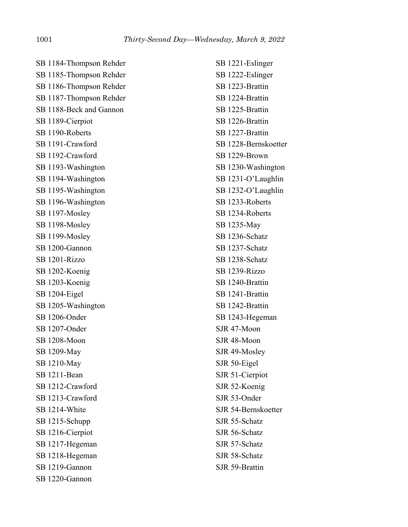SB 1184-Thompson Rehder SB 1185-Thompson Rehder SB 1186-Thompson Rehder SB 1187-Thompson Rehder SB 1188-Beck and Gannon SB 1189-Cierpiot SB 1190-Roberts SB 1191-Crawford SB 1192-Crawford SB 1193-Washington SB 1194-Washington SB 1195-Washington SB 1196-Washington SB 1197-Mosley SB 1198-Mosley SB 1199-Mosley SB 1200-Gannon SB 1201-Rizzo SB 1202-Koenig SB 1203-Koenig SB 1204-Eigel SB 1205-Washington SB 1206-Onder SB 1207-Onder SB 1208-Moon SB 1209-May SB 1210-May SB 1211-Bean SB 1212-Crawford SB 1213-Crawford SB 1214-White SB 1215-Schupp SB 1216-Cierpiot SB 1217-Hegeman SB 1218-Hegeman SB 1219-Gannon SB 1220-Gannon

SB 1221-Eslinger SB 1222-Eslinger SB 1223-Brattin SB 1224-Brattin SB 1225-Brattin SB 1226-Brattin SB 1227-Brattin SB 1228-Bernskoetter SB 1229-Brown SB 1230-Washington SB 1231-O'Laughlin SB 1232-O'Laughlin SB 1233-Roberts SB 1234-Roberts SB 1235-May SB 1236-Schatz SB 1237-Schatz SB 1238-Schatz SB 1239-Rizzo SB 1240-Brattin SB 1241-Brattin SB 1242-Brattin SB 1243-Hegeman SJR 47-Moon SJR 48-Moon SJR 49-Mosley SJR 50-Eigel SJR 51-Cierpiot SJR 52-Koenig SJR 53-Onder SJR 54-Bernskoetter SJR 55-Schatz SJR 56-Schatz SJR 57-Schatz SJR 58-Schatz SJR 59-Brattin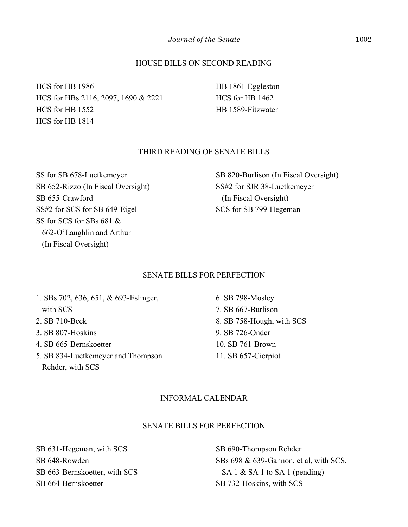# HOUSE BILLS ON SECOND READING

HCS for HB 1986 HCS for HBs 2116, 2097, 1690 & 2221 HCS for HB 1552 HCS for HB 1814

HB 1861-Eggleston HCS for HB 1462 HB 1589-Fitzwater

### THIRD READING OF SENATE BILLS

SS for SB 678-Luetkemeyer SB 652-Rizzo (In Fiscal Oversight) SB 655-Crawford SS#2 for SCS for SB 649-Eigel SS for SCS for SBs 681 & 662-O'Laughlin and Arthur (In Fiscal Oversight)

SB 820-Burlison (In Fiscal Oversight) SS#2 for SJR 38-Luetkemeyer (In Fiscal Oversight) SCS for SB 799-Hegeman

# SENATE BILLS FOR PERFECTION

1. SBs 702, 636, 651, & 693-Eslinger, with SCS 2. SB 710-Beck 3. SB 807-Hoskins 4. SB 665-Bernskoetter

5. SB 834-Luetkemeyer and Thompson Rehder, with SCS

6. SB 798-Mosley 7. SB 667-Burlison 8. SB 758-Hough, with SCS 9. SB 726-Onder 10. SB 761-Brown 11. SB 657-Cierpiot

### INFORMAL CALENDAR

# SENATE BILLS FOR PERFECTION

SB 631-Hegeman, with SCS SB 648-Rowden SB 663-Bernskoetter, with SCS SB 664-Bernskoetter

SB 690-Thompson Rehder SBs 698 & 639-Gannon, et al, with SCS, SA 1 & SA 1 to SA 1 (pending) SB 732-Hoskins, with SCS